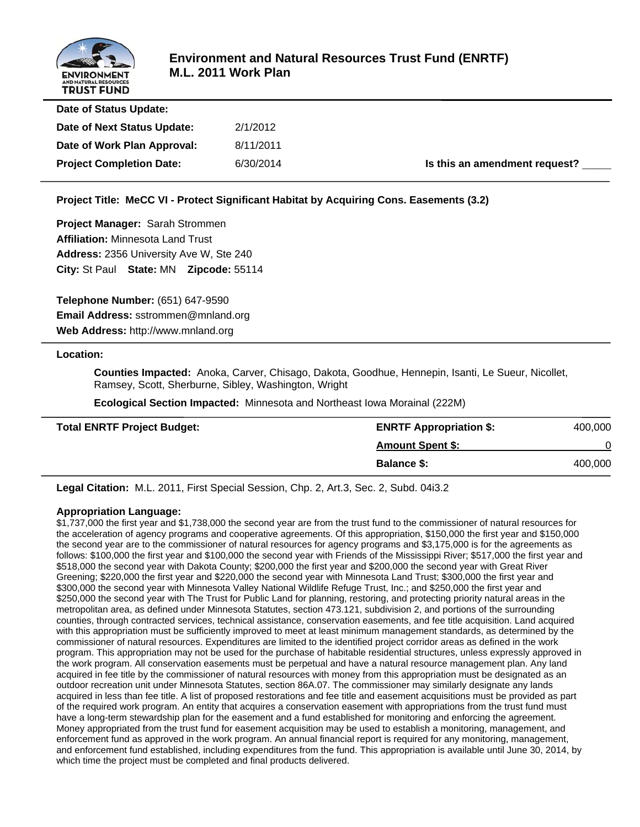

| Date of Status Update:          |           |                               |
|---------------------------------|-----------|-------------------------------|
| Date of Next Status Update:     | 2/1/2012  |                               |
| Date of Work Plan Approval:     | 8/11/2011 |                               |
| <b>Project Completion Date:</b> | 6/30/2014 | Is this an amendment request? |
|                                 |           |                               |

**Project Title: MeCC VI - Protect Significant Habitat by Acquiring Cons. Easements (3.2)**

**Project Manager:** Sarah Strommen **Affiliation:** Minnesota Land Trust **Address:** 2356 University Ave W, Ste 240 **City:** St Paul **State:** MN **Zipcode:** 55114

**Telephone Number:** (651) 647-9590 **Email Address:** sstrommen@mnland.org **Web Address:** http://www.mnland.org

#### **Location:**

 **Counties Impacted:** Anoka, Carver, Chisago, Dakota, Goodhue, Hennepin, Isanti, Le Sueur, Nicollet, Ramsey, Scott, Sherburne, Sibley, Washington, Wright

 **Ecological Section Impacted:** Minnesota and Northeast Iowa Morainal (222M)

| <b>Total ENRTF Project Budget:</b> | <b>ENRTF Appropriation \$:</b> | 400,000 |
|------------------------------------|--------------------------------|---------|
|                                    | <b>Amount Spent \$:</b>        |         |
|                                    | <b>Balance \$:</b>             | 400,000 |

**Legal Citation:** M.L. 2011, First Special Session, Chp. 2, Art.3, Sec. 2, Subd. 04i3.2

#### **Appropriation Language:**

\$1,737,000 the first year and \$1,738,000 the second year are from the trust fund to the commissioner of natural resources for the acceleration of agency programs and cooperative agreements. Of this appropriation, \$150,000 the first year and \$150,000 the second year are to the commissioner of natural resources for agency programs and \$3,175,000 is for the agreements as follows: \$100,000 the first year and \$100,000 the second year with Friends of the Mississippi River; \$517,000 the first year and \$518,000 the second year with Dakota County; \$200,000 the first year and \$200,000 the second year with Great River Greening; \$220,000 the first year and \$220,000 the second year with Minnesota Land Trust; \$300,000 the first year and \$300,000 the second year with Minnesota Valley National Wildlife Refuge Trust, Inc.; and \$250,000 the first year and \$250,000 the second year with The Trust for Public Land for planning, restoring, and protecting priority natural areas in the metropolitan area, as defined under Minnesota Statutes, section 473.121, subdivision 2, and portions of the surrounding counties, through contracted services, technical assistance, conservation easements, and fee title acquisition. Land acquired with this appropriation must be sufficiently improved to meet at least minimum management standards, as determined by the commissioner of natural resources. Expenditures are limited to the identified project corridor areas as defined in the work program. This appropriation may not be used for the purchase of habitable residential structures, unless expressly approved in the work program. All conservation easements must be perpetual and have a natural resource management plan. Any land acquired in fee title by the commissioner of natural resources with money from this appropriation must be designated as an outdoor recreation unit under Minnesota Statutes, section 86A.07. The commissioner may similarly designate any lands acquired in less than fee title. A list of proposed restorations and fee title and easement acquisitions must be provided as part of the required work program. An entity that acquires a conservation easement with appropriations from the trust fund must have a long-term stewardship plan for the easement and a fund established for monitoring and enforcing the agreement. Money appropriated from the trust fund for easement acquisition may be used to establish a monitoring, management, and enforcement fund as approved in the work program. An annual financial report is required for any monitoring, management, and enforcement fund established, including expenditures from the fund. This appropriation is available until June 30, 2014, by which time the project must be completed and final products delivered.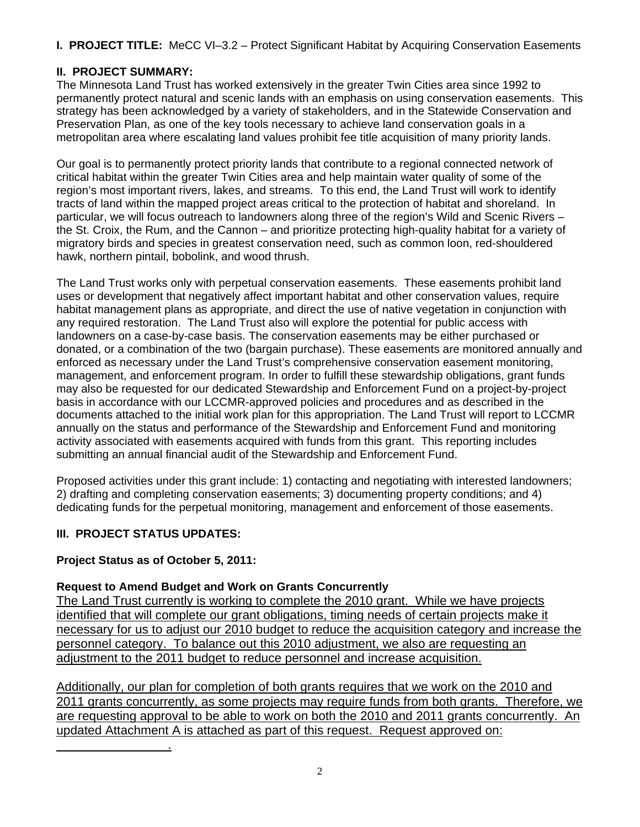**I. PROJECT TITLE:** MeCC VI–3.2 – Protect Significant Habitat by Acquiring Conservation Easements

# **II. PROJECT SUMMARY:**

The Minnesota Land Trust has worked extensively in the greater Twin Cities area since 1992 to permanently protect natural and scenic lands with an emphasis on using conservation easements. This strategy has been acknowledged by a variety of stakeholders, and in the Statewide Conservation and Preservation Plan, as one of the key tools necessary to achieve land conservation goals in a metropolitan area where escalating land values prohibit fee title acquisition of many priority lands.

Our goal is to permanently protect priority lands that contribute to a regional connected network of critical habitat within the greater Twin Cities area and help maintain water quality of some of the region's most important rivers, lakes, and streams. To this end, the Land Trust will work to identify tracts of land within the mapped project areas critical to the protection of habitat and shoreland. In particular, we will focus outreach to landowners along three of the region's Wild and Scenic Rivers – the St. Croix, the Rum, and the Cannon – and prioritize protecting high-quality habitat for a variety of migratory birds and species in greatest conservation need, such as common loon, red-shouldered hawk, northern pintail, bobolink, and wood thrush.

The Land Trust works only with perpetual conservation easements. These easements prohibit land uses or development that negatively affect important habitat and other conservation values, require habitat management plans as appropriate, and direct the use of native vegetation in conjunction with any required restoration. The Land Trust also will explore the potential for public access with landowners on a case-by-case basis. The conservation easements may be either purchased or donated, or a combination of the two (bargain purchase). These easements are monitored annually and enforced as necessary under the Land Trust's comprehensive conservation easement monitoring, management, and enforcement program. In order to fulfill these stewardship obligations, grant funds may also be requested for our dedicated Stewardship and Enforcement Fund on a project-by-project basis in accordance with our LCCMR-approved policies and procedures and as described in the documents attached to the initial work plan for this appropriation. The Land Trust will report to LCCMR annually on the status and performance of the Stewardship and Enforcement Fund and monitoring activity associated with easements acquired with funds from this grant. This reporting includes submitting an annual financial audit of the Stewardship and Enforcement Fund.

Proposed activities under this grant include: 1) contacting and negotiating with interested landowners; 2) drafting and completing conservation easements; 3) documenting property conditions; and 4) dedicating funds for the perpetual monitoring, management and enforcement of those easements.

# **III. PROJECT STATUS UPDATES:**

 $\frac{1}{2}$  ,  $\frac{1}{2}$  ,  $\frac{1}{2}$  ,  $\frac{1}{2}$  ,  $\frac{1}{2}$  ,  $\frac{1}{2}$  ,  $\frac{1}{2}$  ,  $\frac{1}{2}$  ,  $\frac{1}{2}$ 

# **Project Status as of October 5, 2011:**

# **Request to Amend Budget and Work on Grants Concurrently**

The Land Trust currently is working to complete the 2010 grant. While we have projects identified that will complete our grant obligations, timing needs of certain projects make it necessary for us to adjust our 2010 budget to reduce the acquisition category and increase the personnel category. To balance out this 2010 adjustment, we also are requesting an adjustment to the 2011 budget to reduce personnel and increase acquisition.

Additionally, our plan for completion of both grants requires that we work on the 2010 and 2011 grants concurrently, as some projects may require funds from both grants. Therefore, we are requesting approval to be able to work on both the 2010 and 2011 grants concurrently. An updated Attachment A is attached as part of this request. Request approved on: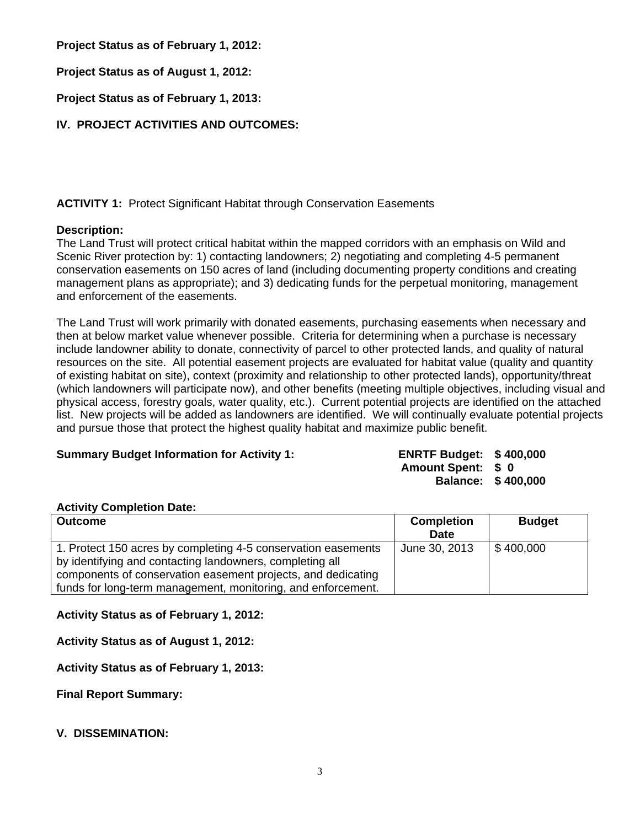**Project Status as of February 1, 2012:**

**Project Status as of August 1, 2012:**

**Project Status as of February 1, 2013:**

**IV. PROJECT ACTIVITIES AND OUTCOMES:**

# **ACTIVITY 1:** Protect Significant Habitat through Conservation Easements

# **Description:**

The Land Trust will protect critical habitat within the mapped corridors with an emphasis on Wild and Scenic River protection by: 1) contacting landowners; 2) negotiating and completing 4-5 permanent conservation easements on 150 acres of land (including documenting property conditions and creating management plans as appropriate); and 3) dedicating funds for the perpetual monitoring, management and enforcement of the easements.

The Land Trust will work primarily with donated easements, purchasing easements when necessary and then at below market value whenever possible. Criteria for determining when a purchase is necessary include landowner ability to donate, connectivity of parcel to other protected lands, and quality of natural resources on the site. All potential easement projects are evaluated for habitat value (quality and quantity of existing habitat on site), context (proximity and relationship to other protected lands), opportunity/threat (which landowners will participate now), and other benefits (meeting multiple objectives, including visual and physical access, forestry goals, water quality, etc.). Current potential projects are identified on the attached list. New projects will be added as landowners are identified. We will continually evaluate potential projects and pursue those that protect the highest quality habitat and maximize public benefit.

#### **Summary Budget Information for Activity 1: ENRTF Budget: \$ 400,000**

# **Amount Spent: \$ 0**

**Balance: \$ 400,000** 

# **Activity Completion Date:**

| <b>Outcome</b>                                                                                                                                                                            | <b>Completion</b><br><b>Date</b> | <b>Budget</b> |
|-------------------------------------------------------------------------------------------------------------------------------------------------------------------------------------------|----------------------------------|---------------|
| 1. Protect 150 acres by completing 4-5 conservation easements<br>by identifying and contacting landowners, completing all<br>components of conservation easement projects, and dedicating | June 30, 2013                    | \$400,000     |
| funds for long-term management, monitoring, and enforcement.                                                                                                                              |                                  |               |

**Activity Status as of February 1, 2012:**

**Activity Status as of August 1, 2012:**

**Activity Status as of February 1, 2013:**

**Final Report Summary:**

#### **V. DISSEMINATION:**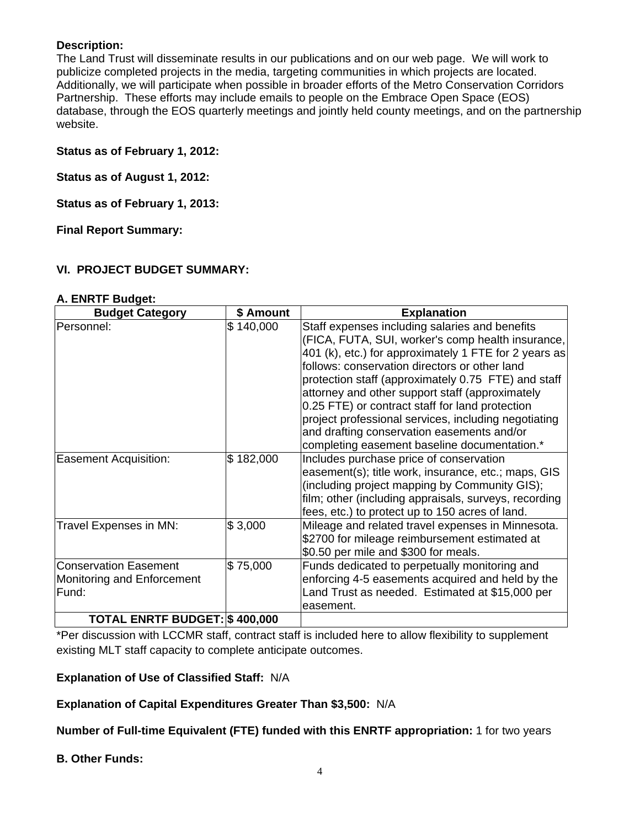#### **Description:**

The Land Trust will disseminate results in our publications and on our web page. We will work to publicize completed projects in the media, targeting communities in which projects are located. Additionally, we will participate when possible in broader efforts of the Metro Conservation Corridors Partnership. These efforts may include emails to people on the Embrace Open Space (EOS) database, through the EOS quarterly meetings and jointly held county meetings, and on the partnership website.

#### **Status as of February 1, 2012:**

**Status as of August 1, 2012:**

**Status as of February 1, 2013:**

**Final Report Summary:**

#### **VI. PROJECT BUDGET SUMMARY:**

| <b>Budget Category</b>                                              | \$ Amount | <b>Explanation</b>                                                                                                                                                                                                                                                                                                                                                                                                                                                                                                               |
|---------------------------------------------------------------------|-----------|----------------------------------------------------------------------------------------------------------------------------------------------------------------------------------------------------------------------------------------------------------------------------------------------------------------------------------------------------------------------------------------------------------------------------------------------------------------------------------------------------------------------------------|
| Personnel:                                                          | \$140,000 | Staff expenses including salaries and benefits<br>(FICA, FUTA, SUI, worker's comp health insurance,<br>401 (k), etc.) for approximately 1 FTE for 2 years as<br>follows: conservation directors or other land<br>protection staff (approximately 0.75 FTE) and staff<br>attorney and other support staff (approximately<br>0.25 FTE) or contract staff for land protection<br>project professional services, including negotiating<br>and drafting conservation easements and/or<br>completing easement baseline documentation.* |
| <b>Easement Acquisition:</b>                                        | \$182,000 | Includes purchase price of conservation<br>easement(s); title work, insurance, etc.; maps, GIS<br>(including project mapping by Community GIS);<br>film; other (including appraisals, surveys, recording<br>fees, etc.) to protect up to 150 acres of land.                                                                                                                                                                                                                                                                      |
| Travel Expenses in MN:                                              | \$3,000   | Mileage and related travel expenses in Minnesota.<br>\$2700 for mileage reimbursement estimated at<br>\$0.50 per mile and \$300 for meals.                                                                                                                                                                                                                                                                                                                                                                                       |
| <b>Conservation Easement</b><br>Monitoring and Enforcement<br>Fund: | \$75,000  | Funds dedicated to perpetually monitoring and<br>enforcing 4-5 easements acquired and held by the<br>Land Trust as needed. Estimated at \$15,000 per<br>easement.                                                                                                                                                                                                                                                                                                                                                                |
| <b>TOTAL ENRTF BUDGET: \$400,000</b>                                |           |                                                                                                                                                                                                                                                                                                                                                                                                                                                                                                                                  |

#### **A. ENRTF Budget:**

\*Per discussion with LCCMR staff, contract staff is included here to allow flexibility to supplement existing MLT staff capacity to complete anticipate outcomes.

**Explanation of Use of Classified Staff:** N/A

**Explanation of Capital Expenditures Greater Than \$3,500:** N/A

**Number of Full-time Equivalent (FTE) funded with this ENRTF appropriation:** 1 for two years

**B. Other Funds:**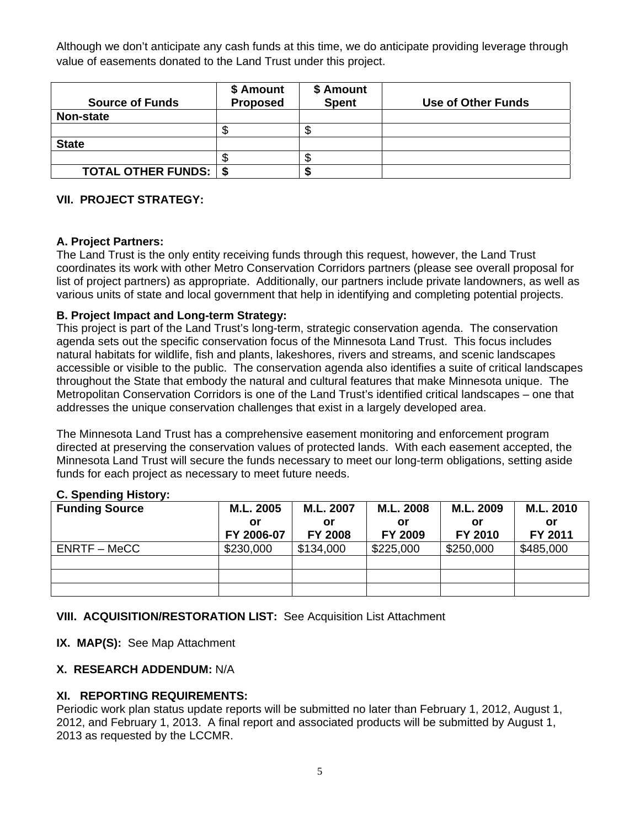Although we don't anticipate any cash funds at this time, we do anticipate providing leverage through value of easements donated to the Land Trust under this project.

| <b>Source of Funds</b>         | \$ Amount<br><b>Proposed</b> | \$ Amount<br><b>Spent</b> | <b>Use of Other Funds</b> |
|--------------------------------|------------------------------|---------------------------|---------------------------|
| <b>Non-state</b>               |                              |                           |                           |
|                                |                              |                           |                           |
| <b>State</b>                   |                              |                           |                           |
|                                |                              |                           |                           |
| <b>TOTAL OTHER FUNDS:   \$</b> |                              |                           |                           |

#### **VII. PROJECT STRATEGY:**

#### **A. Project Partners:**

The Land Trust is the only entity receiving funds through this request, however, the Land Trust coordinates its work with other Metro Conservation Corridors partners (please see overall proposal for list of project partners) as appropriate. Additionally, our partners include private landowners, as well as various units of state and local government that help in identifying and completing potential projects.

#### **B. Project Impact and Long-term Strategy:**

This project is part of the Land Trust's long-term, strategic conservation agenda. The conservation agenda sets out the specific conservation focus of the Minnesota Land Trust. This focus includes natural habitats for wildlife, fish and plants, lakeshores, rivers and streams, and scenic landscapes accessible or visible to the public. The conservation agenda also identifies a suite of critical landscapes throughout the State that embody the natural and cultural features that make Minnesota unique. The Metropolitan Conservation Corridors is one of the Land Trust's identified critical landscapes – one that addresses the unique conservation challenges that exist in a largely developed area.

The Minnesota Land Trust has a comprehensive easement monitoring and enforcement program directed at preserving the conservation values of protected lands. With each easement accepted, the Minnesota Land Trust will secure the funds necessary to meet our long-term obligations, setting aside funds for each project as necessary to meet future needs.

#### **C. Spending History:**

| <b>Funding Source</b> | M.L. 2005  | M.L. 2007      | M.L. 2008 | M.L. 2009 | M.L. 2010 |
|-----------------------|------------|----------------|-----------|-----------|-----------|
|                       | or         | or             | or        | or        | or        |
|                       | FY 2006-07 | <b>FY 2008</b> | FY 2009   | FY 2010   | FY 2011   |
| ENRTF – MeCC          | \$230,000  | \$134,000      | \$225,000 | \$250,000 | \$485,000 |
|                       |            |                |           |           |           |
|                       |            |                |           |           |           |
|                       |            |                |           |           |           |

#### **VIII. ACQUISITION/RESTORATION LIST:** See Acquisition List Attachment

**IX. MAP(S):** See Map Attachment

#### **X. RESEARCH ADDENDUM:** N/A

#### **XI. REPORTING REQUIREMENTS:**

Periodic work plan status update reports will be submitted no later than February 1, 2012, August 1, 2012, and February 1, 2013. A final report and associated products will be submitted by August 1, 2013 as requested by the LCCMR.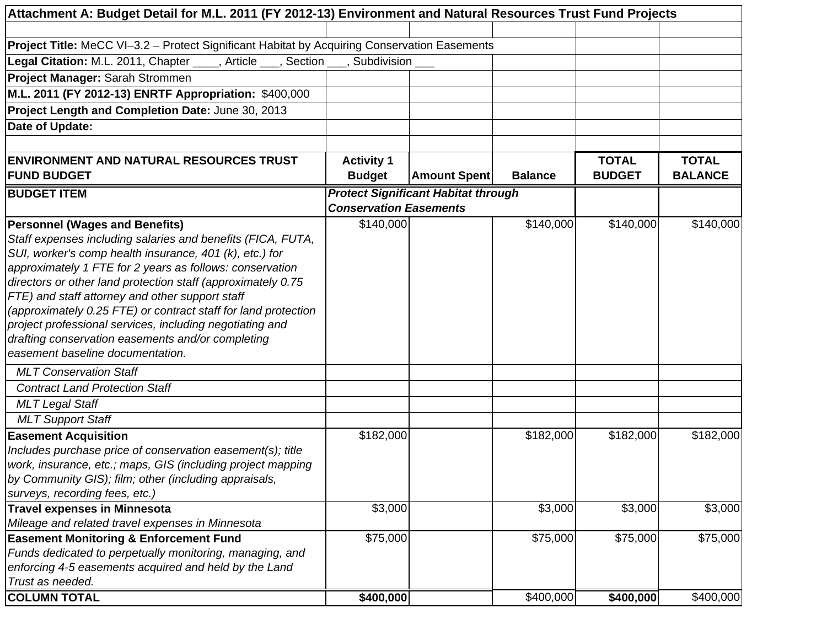| Attachment A: Budget Detail for M.L. 2011 (FY 2012-13) Environment and Natural Resources Trust Fund Projects      |                               |                                            |                |               |                |
|-------------------------------------------------------------------------------------------------------------------|-------------------------------|--------------------------------------------|----------------|---------------|----------------|
|                                                                                                                   |                               |                                            |                |               |                |
| Project Title: MeCC VI-3.2 - Protect Significant Habitat by Acquiring Conservation Easements                      |                               |                                            |                |               |                |
| Legal Citation: M.L. 2011, Chapter ____, Article ___, Section ___, Subdivision ___                                |                               |                                            |                |               |                |
| Project Manager: Sarah Strommen                                                                                   |                               |                                            |                |               |                |
| M.L. 2011 (FY 2012-13) ENRTF Appropriation: \$400,000                                                             |                               |                                            |                |               |                |
| Project Length and Completion Date: June 30, 2013                                                                 |                               |                                            |                |               |                |
| Date of Update:                                                                                                   |                               |                                            |                |               |                |
|                                                                                                                   |                               |                                            |                |               |                |
| <b>ENVIRONMENT AND NATURAL RESOURCES TRUST</b>                                                                    | <b>Activity 1</b>             |                                            |                | <b>TOTAL</b>  | <b>TOTAL</b>   |
| <b>FUND BUDGET</b>                                                                                                | <b>Budget</b>                 | <b>Amount Spent</b>                        | <b>Balance</b> | <b>BUDGET</b> | <b>BALANCE</b> |
| <b>BUDGET ITEM</b>                                                                                                |                               | <b>Protect Significant Habitat through</b> |                |               |                |
|                                                                                                                   | <b>Conservation Easements</b> |                                            |                |               |                |
| <b>Personnel (Wages and Benefits)</b>                                                                             | \$140,000                     |                                            | \$140,000      | \$140,000     | \$140,000      |
| Staff expenses including salaries and benefits (FICA, FUTA,                                                       |                               |                                            |                |               |                |
| SUI, worker's comp health insurance, 401 (k), etc.) for                                                           |                               |                                            |                |               |                |
| approximately 1 FTE for 2 years as follows: conservation                                                          |                               |                                            |                |               |                |
| directors or other land protection staff (approximately 0.75                                                      |                               |                                            |                |               |                |
| FTE) and staff attorney and other support staff                                                                   |                               |                                            |                |               |                |
| (approximately 0.25 FTE) or contract staff for land protection                                                    |                               |                                            |                |               |                |
| project professional services, including negotiating and                                                          |                               |                                            |                |               |                |
| drafting conservation easements and/or completing                                                                 |                               |                                            |                |               |                |
| easement baseline documentation.                                                                                  |                               |                                            |                |               |                |
| <b>MLT Conservation Staff</b>                                                                                     |                               |                                            |                |               |                |
| <b>Contract Land Protection Staff</b>                                                                             |                               |                                            |                |               |                |
| <b>MLT Legal Staff</b>                                                                                            |                               |                                            |                |               |                |
| <b>MLT Support Staff</b>                                                                                          |                               |                                            |                |               |                |
| <b>Easement Acquisition</b>                                                                                       | \$182,000                     |                                            | \$182,000      | \$182,000     | \$182,000      |
| Includes purchase price of conservation easement(s); title                                                        |                               |                                            |                |               |                |
| work, insurance, etc.; maps, GIS (including project mapping                                                       |                               |                                            |                |               |                |
| by Community GIS); film; other (including appraisals,                                                             |                               |                                            |                |               |                |
| surveys, recording fees, etc.)                                                                                    |                               |                                            |                |               |                |
| <b>Travel expenses in Minnesota</b>                                                                               | \$3,000                       |                                            | \$3,000        | \$3,000       | \$3,000        |
| Mileage and related travel expenses in Minnesota                                                                  |                               |                                            |                |               |                |
| <b>Easement Monitoring &amp; Enforcement Fund</b>                                                                 | \$75,000                      |                                            | \$75,000       | \$75,000      | \$75,000       |
| Funds dedicated to perpetually monitoring, managing, and<br>enforcing 4-5 easements acquired and held by the Land |                               |                                            |                |               |                |
| Trust as needed.                                                                                                  |                               |                                            |                |               |                |
| <b>COLUMN TOTAL</b>                                                                                               | \$400,000                     |                                            | \$400,000      | \$400,000     | \$400,000      |
|                                                                                                                   |                               |                                            |                |               |                |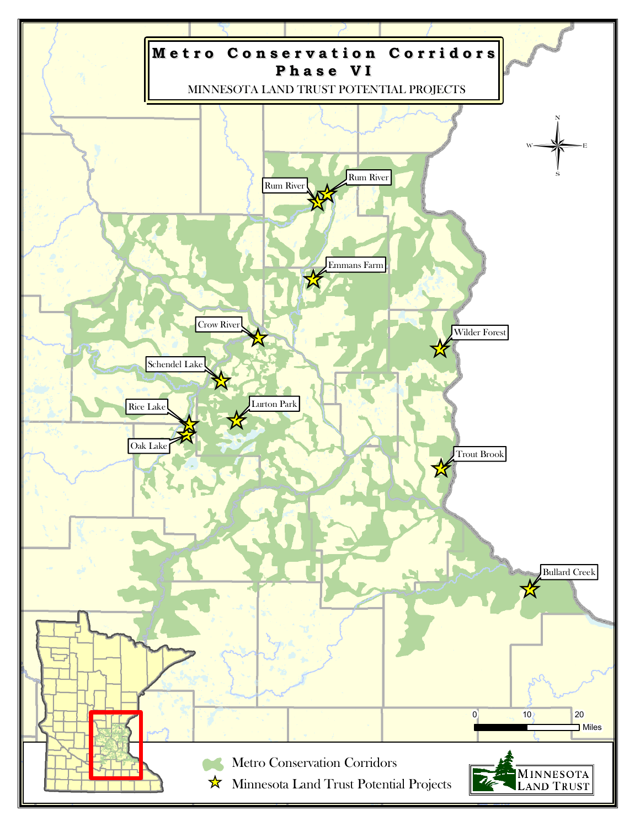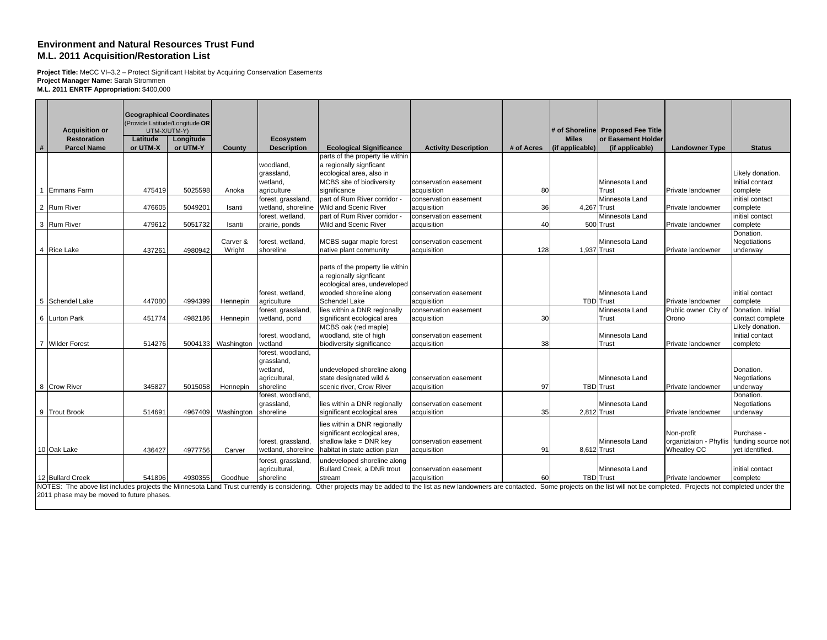#### **Environment and Natural Resources Trust Fund M.L. 2011 Acquisition/Restoration List**

**Project Title:** MeCC VI–3.2 – Protect Significant Habitat by Acquiring Conservation Easements **Project Manager Name:** Sarah Strommen **M.L. 2011 ENRTF Appropriation:** \$400,000

|   | <b>Acquisition or</b>                                                                      | <b>Geographical Coordinates</b><br>UTM-X/UTM-Y) | (Provide Latitude/Longitude OR |                    |                                          |                                                                                                                                                            |                                      |            |                 | # of Shoreline Proposed Fee Title |                                                          |                                     |
|---|--------------------------------------------------------------------------------------------|-------------------------------------------------|--------------------------------|--------------------|------------------------------------------|------------------------------------------------------------------------------------------------------------------------------------------------------------|--------------------------------------|------------|-----------------|-----------------------------------|----------------------------------------------------------|-------------------------------------|
|   | Restoration                                                                                | Latitude                                        | Longitude                      |                    | Ecosystem                                |                                                                                                                                                            |                                      |            | <b>Miles</b>    | or Easement Holder                |                                                          |                                     |
| # | <b>Parcel Name</b>                                                                         | or UTM-X                                        | or UTM-Y                       | County             | <b>Description</b>                       | <b>Ecological Significance</b>                                                                                                                             | <b>Activity Description</b>          | # of Acres | (if applicable) | (if applicable)                   | <b>Landowner Type</b>                                    | <b>Status</b>                       |
|   |                                                                                            |                                                 |                                |                    |                                          | parts of the property lie within                                                                                                                           |                                      |            |                 |                                   |                                                          |                                     |
|   |                                                                                            |                                                 |                                |                    | woodland,<br>grassland,                  | a regionally signficant<br>ecological area, also in                                                                                                        |                                      |            |                 |                                   |                                                          | Likely donation.                    |
|   |                                                                                            |                                                 |                                |                    | wetland,                                 | MCBS site of biodiversity                                                                                                                                  | conservation easement                |            |                 | Minnesota Land                    |                                                          | Initial contact                     |
|   | 1 Emmans Farm                                                                              | 475419                                          | 5025598                        | Anoka              | agriculture                              | significance                                                                                                                                               | acquisition                          | 80         |                 | Trust                             | Private landowner                                        | complete                            |
|   |                                                                                            |                                                 |                                |                    | forest, grassland,                       | part of Rum River corridor                                                                                                                                 | conservation easement                |            |                 | Minnesota Land                    |                                                          | initial contact                     |
|   | 2 Rum River                                                                                | 476605                                          | 504920                         | Isanti             | wetland, shoreline                       | <b>Wild and Scenic River</b>                                                                                                                               | acquisition                          | 36         | 4.267 Trust     |                                   | Private landowner                                        | complete                            |
|   |                                                                                            |                                                 |                                |                    | forest, wetland,                         | part of Rum River corridor -                                                                                                                               | conservation easement                |            |                 | Minnesota Land                    |                                                          | initial contact                     |
|   | 3 Rum River                                                                                | 479612                                          | 5051732                        | Isanti             | prairie, ponds                           | Wild and Scenic River                                                                                                                                      | acquisition                          | 40         |                 | 500 Trust                         | Private landowner                                        | complete                            |
|   |                                                                                            |                                                 |                                |                    |                                          |                                                                                                                                                            |                                      |            |                 |                                   |                                                          | Donation.                           |
|   | 4 Rice Lake                                                                                | 437261                                          | 4980942                        | Carver &<br>Wright | forest, wetland,<br>shoreline            | MCBS sugar maple forest<br>native plant community                                                                                                          | conservation easement<br>acquisition | 128        | 1,937 Trust     | Minnesota Land                    |                                                          | Negotiations                        |
|   |                                                                                            |                                                 |                                |                    |                                          |                                                                                                                                                            |                                      |            |                 |                                   | Private landowner                                        | underway                            |
|   |                                                                                            |                                                 |                                |                    |                                          | parts of the property lie within                                                                                                                           |                                      |            |                 |                                   |                                                          |                                     |
|   |                                                                                            |                                                 |                                |                    |                                          | a regionally signficant                                                                                                                                    |                                      |            |                 |                                   |                                                          |                                     |
|   |                                                                                            |                                                 |                                |                    |                                          | ecological area, undeveloped                                                                                                                               |                                      |            |                 |                                   |                                                          |                                     |
|   |                                                                                            |                                                 |                                |                    | forest, wetland,                         | wooded shoreline along                                                                                                                                     | conservation easement                |            |                 | Minnesota Land                    |                                                          | initial contact                     |
|   | 5 Schendel Lake                                                                            | 447080                                          | 4994399                        | Hennepin           | agriculture                              | Schendel Lake                                                                                                                                              | acquisition                          |            |                 | <b>TBD</b> Trust                  | Private landowner                                        | complete                            |
|   |                                                                                            |                                                 |                                |                    | forest, grassland,                       | lies within a DNR regionally                                                                                                                               | conservation easement                |            |                 | Minnesota Land                    | Public owner City of Donation. Initial                   |                                     |
|   | 6 Lurton Park                                                                              | 451774                                          | 4982186                        | Hennepin           | wetland, pond                            | significant ecological area<br>MCBS oak (red maple)                                                                                                        | acquisition                          | 30         |                 | Trust                             | Orono                                                    | contact complete                    |
|   |                                                                                            |                                                 |                                |                    | forest, woodland,                        | woodland, site of high                                                                                                                                     | conservation easement                |            |                 | Minnesota Land                    |                                                          | Likely donation.<br>Initial contact |
|   | 7 Wilder Forest                                                                            | 514276                                          | 5004133                        | Washington         | wetland                                  | biodiversity significance                                                                                                                                  | acquisition                          | 38         |                 | Trust                             | Private landowner                                        | complete                            |
|   |                                                                                            |                                                 |                                |                    | forest, woodland,                        |                                                                                                                                                            |                                      |            |                 |                                   |                                                          |                                     |
|   |                                                                                            |                                                 |                                |                    | grassland,                               |                                                                                                                                                            |                                      |            |                 |                                   |                                                          |                                     |
|   |                                                                                            |                                                 |                                |                    | wetland.                                 | undeveloped shoreline along                                                                                                                                |                                      |            |                 |                                   |                                                          | Donation.                           |
|   |                                                                                            |                                                 |                                |                    | agricultural,                            | state designated wild &                                                                                                                                    | conservation easement                |            |                 | Minnesota Land                    |                                                          | Negotiations                        |
|   | 8 Crow River                                                                               | 345827                                          | 5015058                        | Hennepin           | shoreline                                | scenic river, Crow River                                                                                                                                   | acquisition                          | 97         |                 | <b>TBD</b> Trust                  | Private landowner                                        | underway                            |
|   |                                                                                            |                                                 |                                |                    | forest, woodland.                        |                                                                                                                                                            |                                      |            |                 |                                   |                                                          | Donation.                           |
|   | 9 Trout Brook                                                                              | 514691                                          | 4967409                        | Washington         | grassland,<br>shoreline                  | lies within a DNR regionally<br>significant ecological area                                                                                                | conservation easement<br>acquisition | 35         | 2,812 Trust     | Minnesota Land                    | Private landowner                                        | Negotiations<br>underway            |
|   |                                                                                            |                                                 |                                |                    |                                          |                                                                                                                                                            |                                      |            |                 |                                   |                                                          |                                     |
|   |                                                                                            |                                                 |                                |                    |                                          | lies within a DNR regionally                                                                                                                               |                                      |            |                 |                                   |                                                          |                                     |
|   |                                                                                            |                                                 |                                |                    |                                          | significant ecological area,<br>shallow lake = DNR key                                                                                                     |                                      |            |                 |                                   | Non-profit                                               | Purchase -                          |
|   | 10 Oak Lake                                                                                | 436427                                          | 4977756                        | Carver             | forest, grassland,<br>wetland, shoreline | habitat in state action plan                                                                                                                               | conservation easement<br>acquisition | 91         | 8,612 Trust     | Minnesota Land                    | organiztaion - Phyllis funding source not<br>Wheatley CC | vet identified.                     |
|   |                                                                                            |                                                 |                                |                    |                                          |                                                                                                                                                            |                                      |            |                 |                                   |                                                          |                                     |
|   |                                                                                            |                                                 |                                |                    | forest, grassland,<br>agricultural,      | undeveloped shoreline along<br>Bullard Creek, a DNR trout                                                                                                  | conservation easement                |            |                 | Minnesota Land                    |                                                          | initial contact                     |
|   | 12 Bullard Creek                                                                           | 541896                                          | 4930355                        | Goodhue            | shoreline                                | stream                                                                                                                                                     | acquisition                          | 60         |                 | <b>TBD</b> Trust                  | Private landowner                                        | complete                            |
|   | NOTES: The above list includes projects the Minnesota Land Trust currently is considering. |                                                 |                                |                    |                                          | Other projects may be added to the list as new landowners are contacted. Some projects on the list will not be completed. Projects not completed under the |                                      |            |                 |                                   |                                                          |                                     |

2011 phase may be moved to future phases.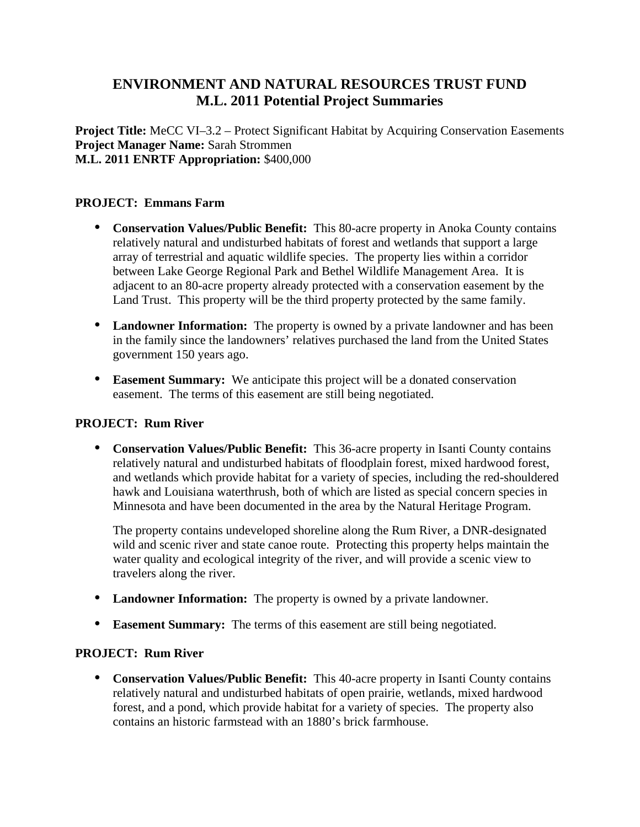# **ENVIRONMENT AND NATURAL RESOURCES TRUST FUND M.L. 2011 Potential Project Summaries**

**Project Title:** MeCC VI–3.2 – Protect Significant Habitat by Acquiring Conservation Easements **Project Manager Name:** Sarah Strommen **M.L. 2011 ENRTF Appropriation:** \$400,000

#### **PROJECT: Emmans Farm**

- **Conservation Values/Public Benefit:** This 80-acre property in Anoka County contains relatively natural and undisturbed habitats of forest and wetlands that support a large array of terrestrial and aquatic wildlife species. The property lies within a corridor between Lake George Regional Park and Bethel Wildlife Management Area. It is adjacent to an 80-acre property already protected with a conservation easement by the Land Trust. This property will be the third property protected by the same family.
- **Landowner Information:** The property is owned by a private landowner and has been in the family since the landowners' relatives purchased the land from the United States government 150 years ago.
- **Easement Summary:** We anticipate this project will be a donated conservation easement. The terms of this easement are still being negotiated.

#### **PROJECT: Rum River**

 **Conservation Values/Public Benefit:** This 36-acre property in Isanti County contains relatively natural and undisturbed habitats of floodplain forest, mixed hardwood forest, and wetlands which provide habitat for a variety of species, including the red-shouldered hawk and Louisiana waterthrush, both of which are listed as special concern species in Minnesota and have been documented in the area by the Natural Heritage Program.

The property contains undeveloped shoreline along the Rum River, a DNR-designated wild and scenic river and state canoe route. Protecting this property helps maintain the water quality and ecological integrity of the river, and will provide a scenic view to travelers along the river.

- **Landowner Information:** The property is owned by a private landowner.
- **Easement Summary:** The terms of this easement are still being negotiated.

# **PROJECT: Rum River**

 **Conservation Values/Public Benefit:** This 40-acre property in Isanti County contains relatively natural and undisturbed habitats of open prairie, wetlands, mixed hardwood forest, and a pond, which provide habitat for a variety of species. The property also contains an historic farmstead with an 1880's brick farmhouse.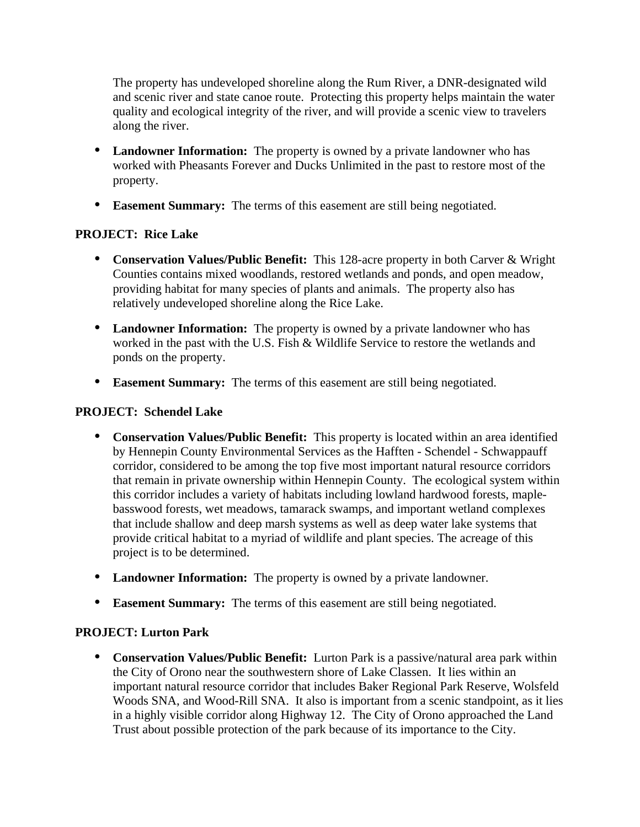The property has undeveloped shoreline along the Rum River, a DNR-designated wild and scenic river and state canoe route. Protecting this property helps maintain the water quality and ecological integrity of the river, and will provide a scenic view to travelers along the river.

- **Landowner Information:** The property is owned by a private landowner who has worked with Pheasants Forever and Ducks Unlimited in the past to restore most of the property.
- **Easement Summary:** The terms of this easement are still being negotiated.

# **PROJECT: Rice Lake**

- **Conservation Values/Public Benefit:** This 128-acre property in both Carver & Wright Counties contains mixed woodlands, restored wetlands and ponds, and open meadow, providing habitat for many species of plants and animals. The property also has relatively undeveloped shoreline along the Rice Lake.
- **Landowner Information:** The property is owned by a private landowner who has worked in the past with the U.S. Fish & Wildlife Service to restore the wetlands and ponds on the property.
- **Easement Summary:** The terms of this easement are still being negotiated.

# **PROJECT: Schendel Lake**

- **Conservation Values/Public Benefit:** This property is located within an area identified by Hennepin County Environmental Services as the Hafften - Schendel - Schwappauff corridor, considered to be among the top five most important natural resource corridors that remain in private ownership within Hennepin County. The ecological system within this corridor includes a variety of habitats including lowland hardwood forests, maplebasswood forests, wet meadows, tamarack swamps, and important wetland complexes that include shallow and deep marsh systems as well as deep water lake systems that provide critical habitat to a myriad of wildlife and plant species. The acreage of this project is to be determined.
- **Landowner Information:** The property is owned by a private landowner.
- **Easement Summary:** The terms of this easement are still being negotiated.

# **PROJECT: Lurton Park**

 **Conservation Values/Public Benefit:** Lurton Park is a passive/natural area park within the City of Orono near the southwestern shore of Lake Classen. It lies within an important natural resource corridor that includes Baker Regional Park Reserve, Wolsfeld Woods SNA, and Wood-Rill SNA. It also is important from a scenic standpoint, as it lies in a highly visible corridor along Highway 12. The City of Orono approached the Land Trust about possible protection of the park because of its importance to the City.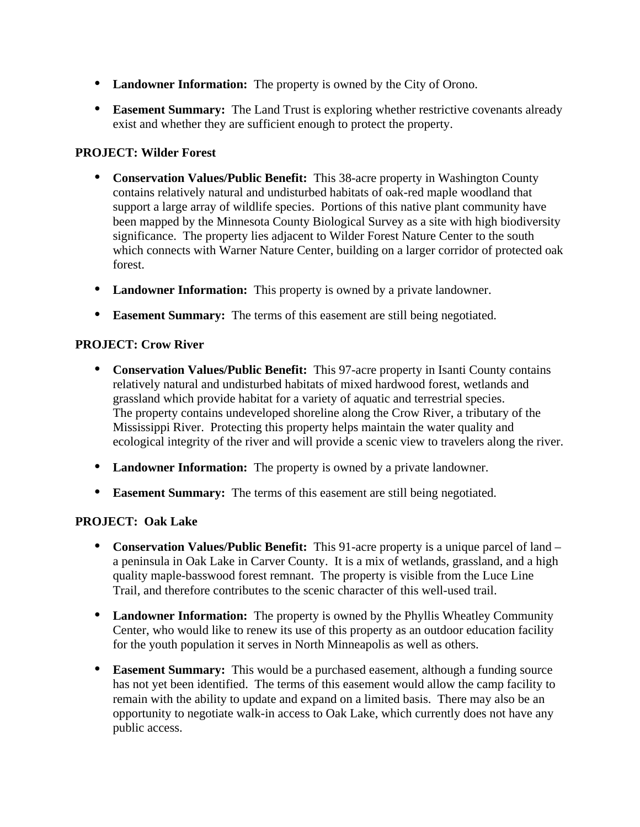- **Landowner Information:** The property is owned by the City of Orono.
- **Easement Summary:** The Land Trust is exploring whether restrictive covenants already exist and whether they are sufficient enough to protect the property.

# **PROJECT: Wilder Forest**

- **Conservation Values/Public Benefit:** This 38-acre property in Washington County contains relatively natural and undisturbed habitats of oak-red maple woodland that support a large array of wildlife species. Portions of this native plant community have been mapped by the Minnesota County Biological Survey as a site with high biodiversity significance. The property lies adjacent to Wilder Forest Nature Center to the south which connects with Warner Nature Center, building on a larger corridor of protected oak forest.
- **Landowner Information:** This property is owned by a private landowner.
- **Easement Summary:** The terms of this easement are still being negotiated.

# **PROJECT: Crow River**

- **Conservation Values/Public Benefit:** This 97-acre property in Isanti County contains relatively natural and undisturbed habitats of mixed hardwood forest, wetlands and grassland which provide habitat for a variety of aquatic and terrestrial species. The property contains undeveloped shoreline along the Crow River, a tributary of the Mississippi River. Protecting this property helps maintain the water quality and ecological integrity of the river and will provide a scenic view to travelers along the river.
- **Landowner Information:** The property is owned by a private landowner.
- **Easement Summary:** The terms of this easement are still being negotiated.

# **PROJECT: Oak Lake**

- **Conservation Values/Public Benefit:** This 91-acre property is a unique parcel of land a peninsula in Oak Lake in Carver County. It is a mix of wetlands, grassland, and a high quality maple-basswood forest remnant. The property is visible from the Luce Line Trail, and therefore contributes to the scenic character of this well-used trail.
- **Landowner Information:** The property is owned by the Phyllis Wheatley Community Center, who would like to renew its use of this property as an outdoor education facility for the youth population it serves in North Minneapolis as well as others.
- **Easement Summary:** This would be a purchased easement, although a funding source has not yet been identified. The terms of this easement would allow the camp facility to remain with the ability to update and expand on a limited basis. There may also be an opportunity to negotiate walk-in access to Oak Lake, which currently does not have any public access.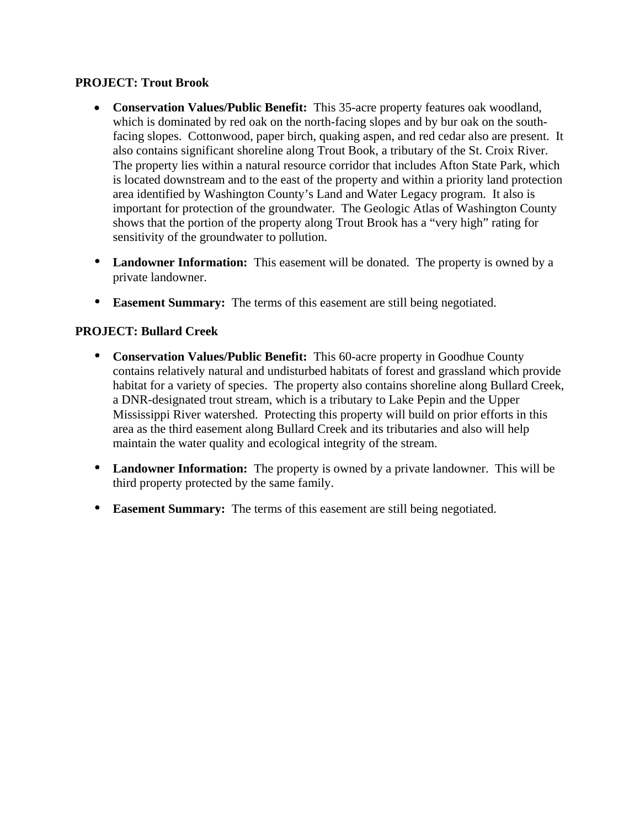#### **PROJECT: Trout Brook**

- **Conservation Values/Public Benefit:** This 35-acre property features oak woodland, which is dominated by red oak on the north-facing slopes and by bur oak on the southfacing slopes. Cottonwood, paper birch, quaking aspen, and red cedar also are present. It also contains significant shoreline along Trout Book, a tributary of the St. Croix River. The property lies within a natural resource corridor that includes Afton State Park, which is located downstream and to the east of the property and within a priority land protection area identified by Washington County's Land and Water Legacy program. It also is important for protection of the groundwater. The Geologic Atlas of Washington County shows that the portion of the property along Trout Brook has a "very high" rating for sensitivity of the groundwater to pollution.
- **Landowner Information:** This easement will be donated. The property is owned by a private landowner.
- **Easement Summary:** The terms of this easement are still being negotiated.

# **PROJECT: Bullard Creek**

- **Conservation Values/Public Benefit:** This 60-acre property in Goodhue County contains relatively natural and undisturbed habitats of forest and grassland which provide habitat for a variety of species. The property also contains shoreline along Bullard Creek, a DNR-designated trout stream, which is a tributary to Lake Pepin and the Upper Mississippi River watershed. Protecting this property will build on prior efforts in this area as the third easement along Bullard Creek and its tributaries and also will help maintain the water quality and ecological integrity of the stream.
- **Landowner Information:** The property is owned by a private landowner. This will be third property protected by the same family.
- **Easement Summary:** The terms of this easement are still being negotiated.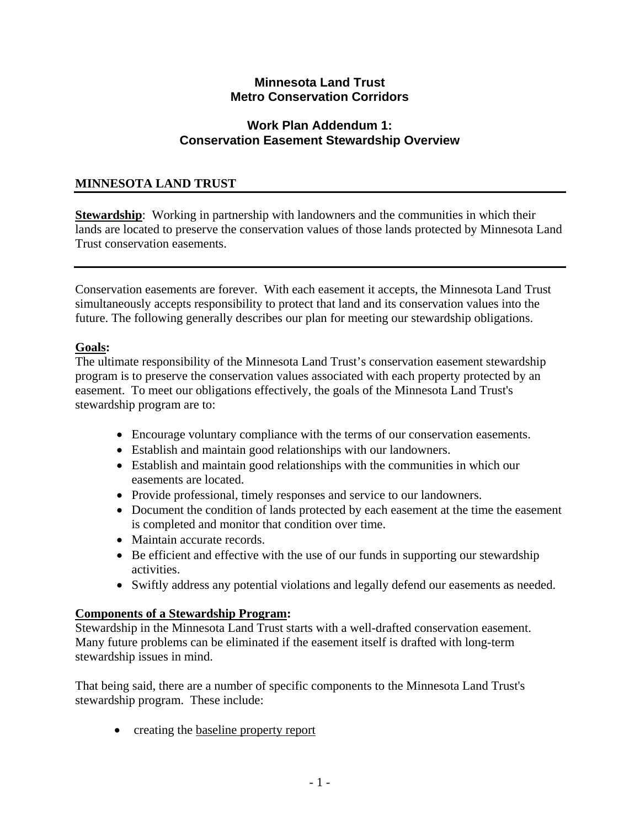# **Minnesota Land Trust Metro Conservation Corridors**

# **Work Plan Addendum 1: Conservation Easement Stewardship Overview**

# **MINNESOTA LAND TRUST**

**Stewardship**: Working in partnership with landowners and the communities in which their lands are located to preserve the conservation values of those lands protected by Minnesota Land Trust conservation easements.

Conservation easements are forever. With each easement it accepts, the Minnesota Land Trust simultaneously accepts responsibility to protect that land and its conservation values into the future. The following generally describes our plan for meeting our stewardship obligations.

#### **Goals:**

The ultimate responsibility of the Minnesota Land Trust's conservation easement stewardship program is to preserve the conservation values associated with each property protected by an easement. To meet our obligations effectively, the goals of the Minnesota Land Trust's stewardship program are to:

- Encourage voluntary compliance with the terms of our conservation easements.
- Establish and maintain good relationships with our landowners.
- Establish and maintain good relationships with the communities in which our easements are located.
- Provide professional, timely responses and service to our landowners.
- Document the condition of lands protected by each easement at the time the easement is completed and monitor that condition over time.
- Maintain accurate records.
- Be efficient and effective with the use of our funds in supporting our stewardship activities.
- Swiftly address any potential violations and legally defend our easements as needed.

# **Components of a Stewardship Program:**

Stewardship in the Minnesota Land Trust starts with a well-drafted conservation easement. Many future problems can be eliminated if the easement itself is drafted with long-term stewardship issues in mind.

That being said, there are a number of specific components to the Minnesota Land Trust's stewardship program. These include:

• creating the baseline property report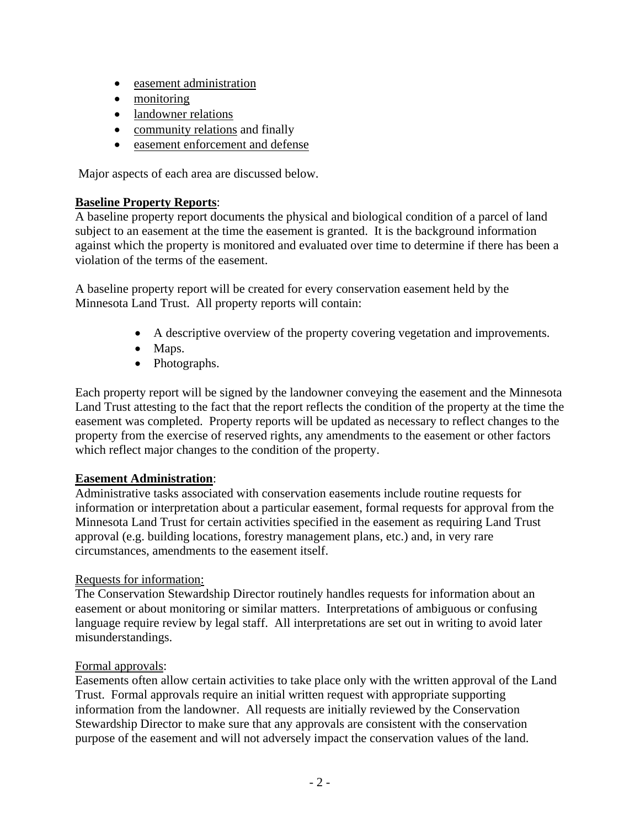- easement administration
- monitoring
- landowner relations
- community relations and finally
- easement enforcement and defense

Major aspects of each area are discussed below.

#### **Baseline Property Reports**:

A baseline property report documents the physical and biological condition of a parcel of land subject to an easement at the time the easement is granted. It is the background information against which the property is monitored and evaluated over time to determine if there has been a violation of the terms of the easement.

A baseline property report will be created for every conservation easement held by the Minnesota Land Trust. All property reports will contain:

- A descriptive overview of the property covering vegetation and improvements.
- Maps.
- Photographs.

Each property report will be signed by the landowner conveying the easement and the Minnesota Land Trust attesting to the fact that the report reflects the condition of the property at the time the easement was completed. Property reports will be updated as necessary to reflect changes to the property from the exercise of reserved rights, any amendments to the easement or other factors which reflect major changes to the condition of the property.

# **Easement Administration**:

Administrative tasks associated with conservation easements include routine requests for information or interpretation about a particular easement, formal requests for approval from the Minnesota Land Trust for certain activities specified in the easement as requiring Land Trust approval (e.g. building locations, forestry management plans, etc.) and, in very rare circumstances, amendments to the easement itself.

# Requests for information:

The Conservation Stewardship Director routinely handles requests for information about an easement or about monitoring or similar matters. Interpretations of ambiguous or confusing language require review by legal staff. All interpretations are set out in writing to avoid later misunderstandings.

#### Formal approvals:

Easements often allow certain activities to take place only with the written approval of the Land Trust. Formal approvals require an initial written request with appropriate supporting information from the landowner. All requests are initially reviewed by the Conservation Stewardship Director to make sure that any approvals are consistent with the conservation purpose of the easement and will not adversely impact the conservation values of the land.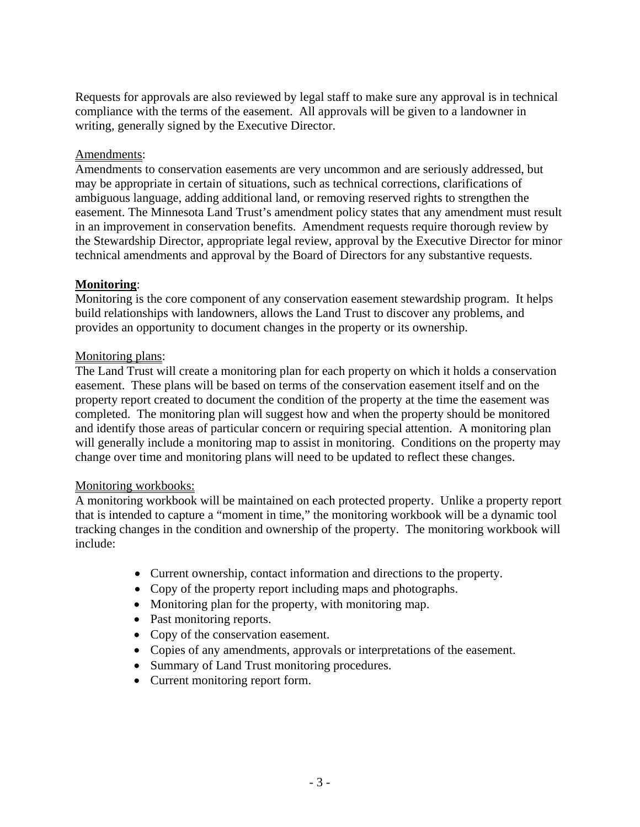Requests for approvals are also reviewed by legal staff to make sure any approval is in technical compliance with the terms of the easement. All approvals will be given to a landowner in writing, generally signed by the Executive Director.

# Amendments:

Amendments to conservation easements are very uncommon and are seriously addressed, but may be appropriate in certain of situations, such as technical corrections, clarifications of ambiguous language, adding additional land, or removing reserved rights to strengthen the easement. The Minnesota Land Trust's amendment policy states that any amendment must result in an improvement in conservation benefits. Amendment requests require thorough review by the Stewardship Director, appropriate legal review, approval by the Executive Director for minor technical amendments and approval by the Board of Directors for any substantive requests.

#### **Monitoring**:

Monitoring is the core component of any conservation easement stewardship program. It helps build relationships with landowners, allows the Land Trust to discover any problems, and provides an opportunity to document changes in the property or its ownership.

#### Monitoring plans:

The Land Trust will create a monitoring plan for each property on which it holds a conservation easement. These plans will be based on terms of the conservation easement itself and on the property report created to document the condition of the property at the time the easement was completed. The monitoring plan will suggest how and when the property should be monitored and identify those areas of particular concern or requiring special attention. A monitoring plan will generally include a monitoring map to assist in monitoring. Conditions on the property may change over time and monitoring plans will need to be updated to reflect these changes.

#### Monitoring workbooks:

A monitoring workbook will be maintained on each protected property. Unlike a property report that is intended to capture a "moment in time," the monitoring workbook will be a dynamic tool tracking changes in the condition and ownership of the property. The monitoring workbook will include:

- Current ownership, contact information and directions to the property.
- Copy of the property report including maps and photographs.
- Monitoring plan for the property, with monitoring map.
- Past monitoring reports.
- Copy of the conservation easement.
- Copies of any amendments, approvals or interpretations of the easement.
- Summary of Land Trust monitoring procedures.
- Current monitoring report form.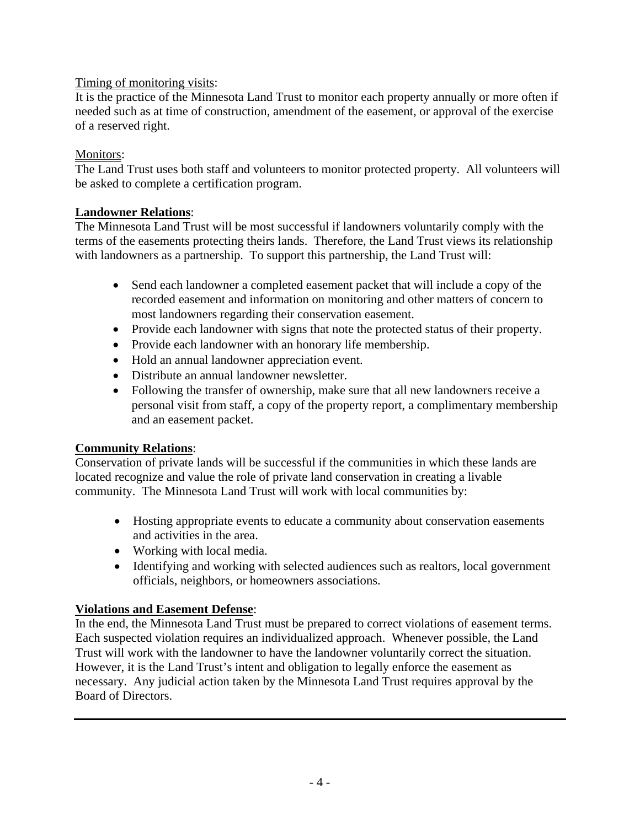# Timing of monitoring visits:

It is the practice of the Minnesota Land Trust to monitor each property annually or more often if needed such as at time of construction, amendment of the easement, or approval of the exercise of a reserved right.

# Monitors:

The Land Trust uses both staff and volunteers to monitor protected property. All volunteers will be asked to complete a certification program.

# **Landowner Relations**:

The Minnesota Land Trust will be most successful if landowners voluntarily comply with the terms of the easements protecting theirs lands. Therefore, the Land Trust views its relationship with landowners as a partnership. To support this partnership, the Land Trust will:

- Send each landowner a completed easement packet that will include a copy of the recorded easement and information on monitoring and other matters of concern to most landowners regarding their conservation easement.
- Provide each landowner with signs that note the protected status of their property.
- Provide each landowner with an honorary life membership.
- Hold an annual landowner appreciation event.
- Distribute an annual landowner newsletter.
- Following the transfer of ownership, make sure that all new landowners receive a personal visit from staff, a copy of the property report, a complimentary membership and an easement packet.

# **Community Relations**:

Conservation of private lands will be successful if the communities in which these lands are located recognize and value the role of private land conservation in creating a livable community. The Minnesota Land Trust will work with local communities by:

- Hosting appropriate events to educate a community about conservation easements and activities in the area.
- Working with local media.
- Identifying and working with selected audiences such as realtors, local government officials, neighbors, or homeowners associations.

# **Violations and Easement Defense**:

In the end, the Minnesota Land Trust must be prepared to correct violations of easement terms. Each suspected violation requires an individualized approach. Whenever possible, the Land Trust will work with the landowner to have the landowner voluntarily correct the situation. However, it is the Land Trust's intent and obligation to legally enforce the easement as necessary. Any judicial action taken by the Minnesota Land Trust requires approval by the Board of Directors.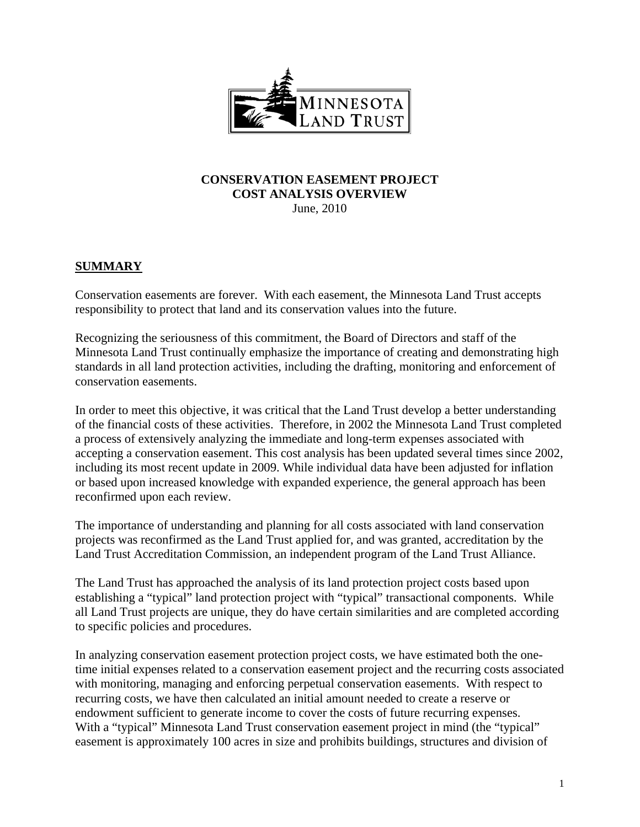

#### **CONSERVATION EASEMENT PROJECT COST ANALYSIS OVERVIEW**  June, 2010

# **SUMMARY**

Conservation easements are forever. With each easement, the Minnesota Land Trust accepts responsibility to protect that land and its conservation values into the future.

Recognizing the seriousness of this commitment, the Board of Directors and staff of the Minnesota Land Trust continually emphasize the importance of creating and demonstrating high standards in all land protection activities, including the drafting, monitoring and enforcement of conservation easements.

In order to meet this objective, it was critical that the Land Trust develop a better understanding of the financial costs of these activities. Therefore, in 2002 the Minnesota Land Trust completed a process of extensively analyzing the immediate and long-term expenses associated with accepting a conservation easement. This cost analysis has been updated several times since 2002, including its most recent update in 2009. While individual data have been adjusted for inflation or based upon increased knowledge with expanded experience, the general approach has been reconfirmed upon each review.

The importance of understanding and planning for all costs associated with land conservation projects was reconfirmed as the Land Trust applied for, and was granted, accreditation by the Land Trust Accreditation Commission, an independent program of the Land Trust Alliance.

The Land Trust has approached the analysis of its land protection project costs based upon establishing a "typical" land protection project with "typical" transactional components. While all Land Trust projects are unique, they do have certain similarities and are completed according to specific policies and procedures.

In analyzing conservation easement protection project costs, we have estimated both the onetime initial expenses related to a conservation easement project and the recurring costs associated with monitoring, managing and enforcing perpetual conservation easements. With respect to recurring costs, we have then calculated an initial amount needed to create a reserve or endowment sufficient to generate income to cover the costs of future recurring expenses. With a "typical" Minnesota Land Trust conservation easement project in mind (the "typical" easement is approximately 100 acres in size and prohibits buildings, structures and division of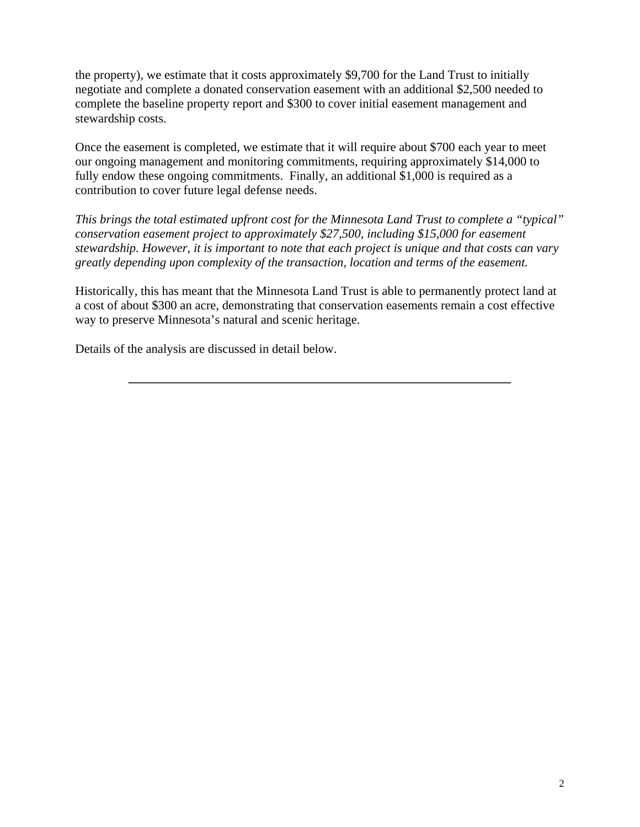the property), we estimate that it costs approximately \$9,700 for the Land Trust to initially negotiate and complete a donated conservation easement with an additional \$2,500 needed to complete the baseline property report and \$300 to cover initial easement management and stewardship costs.

Once the easement is completed, we estimate that it will require about \$700 each year to meet our ongoing management and monitoring commitments, requiring approximately \$14,000 to fully endow these ongoing commitments. Finally, an additional \$1,000 is required as a contribution to cover future legal defense needs.

*This brings the total estimated upfront cost for the Minnesota Land Trust to complete a "typical" conservation easement project to approximately \$27,500, including \$15,000 for easement stewardship. However, it is important to note that each project is unique and that costs can vary greatly depending upon complexity of the transaction, location and terms of the easement.*

Historically, this has meant that the Minnesota Land Trust is able to permanently protect land at a cost of about \$300 an acre, demonstrating that conservation easements remain a cost effective way to preserve Minnesota's natural and scenic heritage.

**\_\_\_\_\_\_\_\_\_\_\_\_\_\_\_\_\_\_\_\_\_\_\_\_\_\_\_\_\_\_\_\_\_\_\_\_\_\_\_\_\_\_\_\_\_\_\_\_\_\_\_\_\_\_\_\_\_\_\_\_\_** 

Details of the analysis are discussed in detail below.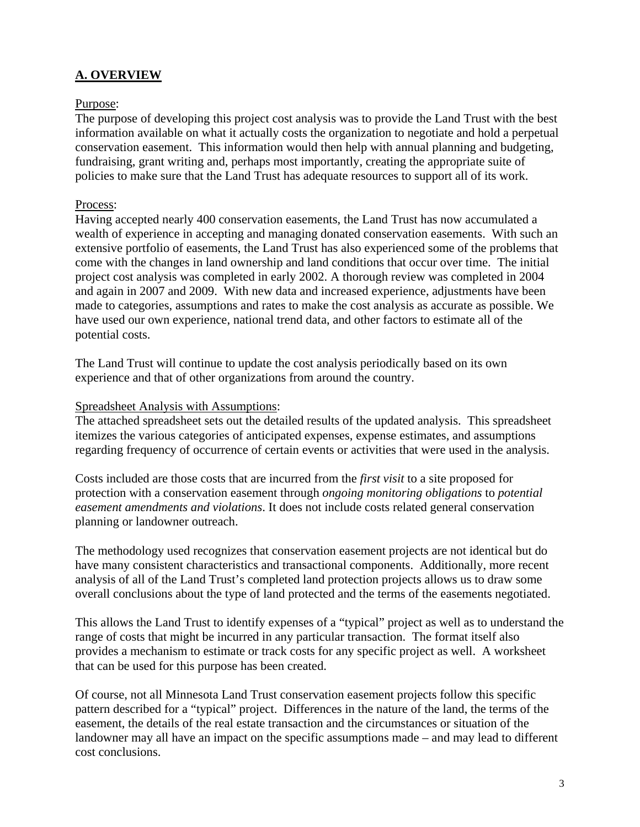# **A. OVERVIEW**

#### Purpose:

The purpose of developing this project cost analysis was to provide the Land Trust with the best information available on what it actually costs the organization to negotiate and hold a perpetual conservation easement. This information would then help with annual planning and budgeting, fundraising, grant writing and, perhaps most importantly, creating the appropriate suite of policies to make sure that the Land Trust has adequate resources to support all of its work.

#### Process:

Having accepted nearly 400 conservation easements, the Land Trust has now accumulated a wealth of experience in accepting and managing donated conservation easements. With such an extensive portfolio of easements, the Land Trust has also experienced some of the problems that come with the changes in land ownership and land conditions that occur over time. The initial project cost analysis was completed in early 2002. A thorough review was completed in 2004 and again in 2007 and 2009. With new data and increased experience, adjustments have been made to categories, assumptions and rates to make the cost analysis as accurate as possible. We have used our own experience, national trend data, and other factors to estimate all of the potential costs.

The Land Trust will continue to update the cost analysis periodically based on its own experience and that of other organizations from around the country.

#### Spreadsheet Analysis with Assumptions:

The attached spreadsheet sets out the detailed results of the updated analysis. This spreadsheet itemizes the various categories of anticipated expenses, expense estimates, and assumptions regarding frequency of occurrence of certain events or activities that were used in the analysis.

Costs included are those costs that are incurred from the *first visit* to a site proposed for protection with a conservation easement through *ongoing monitoring obligations* to *potential easement amendments and violations*. It does not include costs related general conservation planning or landowner outreach.

The methodology used recognizes that conservation easement projects are not identical but do have many consistent characteristics and transactional components. Additionally, more recent analysis of all of the Land Trust's completed land protection projects allows us to draw some overall conclusions about the type of land protected and the terms of the easements negotiated.

This allows the Land Trust to identify expenses of a "typical" project as well as to understand the range of costs that might be incurred in any particular transaction. The format itself also provides a mechanism to estimate or track costs for any specific project as well. A worksheet that can be used for this purpose has been created.

Of course, not all Minnesota Land Trust conservation easement projects follow this specific pattern described for a "typical" project. Differences in the nature of the land, the terms of the easement, the details of the real estate transaction and the circumstances or situation of the landowner may all have an impact on the specific assumptions made – and may lead to different cost conclusions.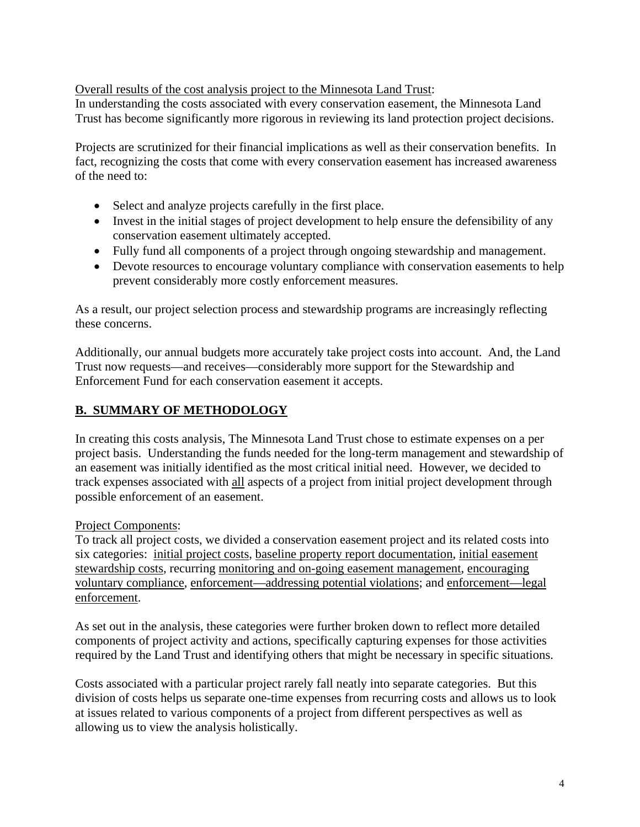#### Overall results of the cost analysis project to the Minnesota Land Trust:

In understanding the costs associated with every conservation easement, the Minnesota Land Trust has become significantly more rigorous in reviewing its land protection project decisions.

Projects are scrutinized for their financial implications as well as their conservation benefits. In fact, recognizing the costs that come with every conservation easement has increased awareness of the need to:

- Select and analyze projects carefully in the first place.
- Invest in the initial stages of project development to help ensure the defensibility of any conservation easement ultimately accepted.
- Fully fund all components of a project through ongoing stewardship and management.
- Devote resources to encourage voluntary compliance with conservation easements to help prevent considerably more costly enforcement measures.

As a result, our project selection process and stewardship programs are increasingly reflecting these concerns.

Additionally, our annual budgets more accurately take project costs into account. And, the Land Trust now requests—and receives—considerably more support for the Stewardship and Enforcement Fund for each conservation easement it accepts.

# **B. SUMMARY OF METHODOLOGY**

In creating this costs analysis, The Minnesota Land Trust chose to estimate expenses on a per project basis. Understanding the funds needed for the long-term management and stewardship of an easement was initially identified as the most critical initial need. However, we decided to track expenses associated with all aspects of a project from initial project development through possible enforcement of an easement.

#### Project Components:

To track all project costs, we divided a conservation easement project and its related costs into six categories: initial project costs, baseline property report documentation, initial easement stewardship costs, recurring monitoring and on-going easement management, encouraging voluntary compliance, enforcement—addressing potential violations; and enforcement—legal enforcement.

As set out in the analysis, these categories were further broken down to reflect more detailed components of project activity and actions, specifically capturing expenses for those activities required by the Land Trust and identifying others that might be necessary in specific situations.

Costs associated with a particular project rarely fall neatly into separate categories. But this division of costs helps us separate one-time expenses from recurring costs and allows us to look at issues related to various components of a project from different perspectives as well as allowing us to view the analysis holistically.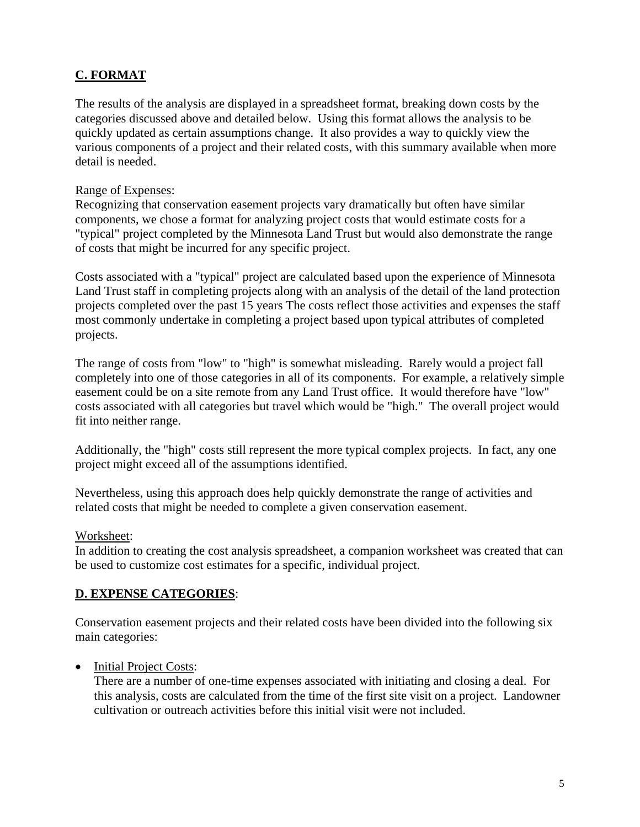# **C. FORMAT**

The results of the analysis are displayed in a spreadsheet format, breaking down costs by the categories discussed above and detailed below. Using this format allows the analysis to be quickly updated as certain assumptions change. It also provides a way to quickly view the various components of a project and their related costs, with this summary available when more detail is needed.

#### Range of Expenses:

Recognizing that conservation easement projects vary dramatically but often have similar components, we chose a format for analyzing project costs that would estimate costs for a "typical" project completed by the Minnesota Land Trust but would also demonstrate the range of costs that might be incurred for any specific project.

Costs associated with a "typical" project are calculated based upon the experience of Minnesota Land Trust staff in completing projects along with an analysis of the detail of the land protection projects completed over the past 15 years The costs reflect those activities and expenses the staff most commonly undertake in completing a project based upon typical attributes of completed projects.

The range of costs from "low" to "high" is somewhat misleading. Rarely would a project fall completely into one of those categories in all of its components. For example, a relatively simple easement could be on a site remote from any Land Trust office. It would therefore have "low" costs associated with all categories but travel which would be "high." The overall project would fit into neither range.

Additionally, the "high" costs still represent the more typical complex projects. In fact, any one project might exceed all of the assumptions identified.

Nevertheless, using this approach does help quickly demonstrate the range of activities and related costs that might be needed to complete a given conservation easement.

#### Worksheet:

In addition to creating the cost analysis spreadsheet, a companion worksheet was created that can be used to customize cost estimates for a specific, individual project.

# **D. EXPENSE CATEGORIES**:

Conservation easement projects and their related costs have been divided into the following six main categories:

• Initial Project Costs:

There are a number of one-time expenses associated with initiating and closing a deal. For this analysis, costs are calculated from the time of the first site visit on a project. Landowner cultivation or outreach activities before this initial visit were not included.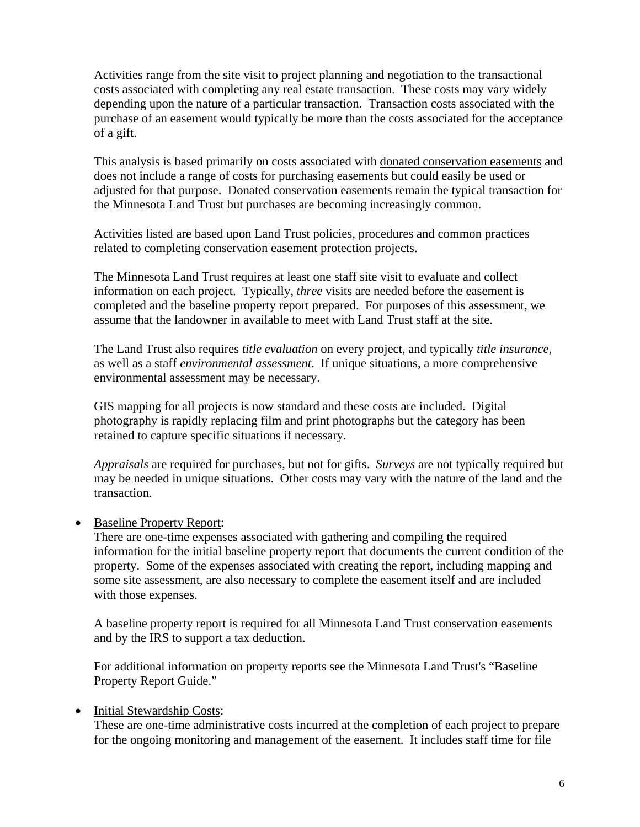Activities range from the site visit to project planning and negotiation to the transactional costs associated with completing any real estate transaction. These costs may vary widely depending upon the nature of a particular transaction. Transaction costs associated with the purchase of an easement would typically be more than the costs associated for the acceptance of a gift.

This analysis is based primarily on costs associated with donated conservation easements and does not include a range of costs for purchasing easements but could easily be used or adjusted for that purpose. Donated conservation easements remain the typical transaction for the Minnesota Land Trust but purchases are becoming increasingly common.

Activities listed are based upon Land Trust policies, procedures and common practices related to completing conservation easement protection projects.

The Minnesota Land Trust requires at least one staff site visit to evaluate and collect information on each project. Typically, *three* visits are needed before the easement is completed and the baseline property report prepared. For purposes of this assessment, we assume that the landowner in available to meet with Land Trust staff at the site.

The Land Trust also requires *title evaluation* on every project, and typically *title insurance*, as well as a staff *environmental assessment*. If unique situations, a more comprehensive environmental assessment may be necessary.

GIS mapping for all projects is now standard and these costs are included. Digital photography is rapidly replacing film and print photographs but the category has been retained to capture specific situations if necessary.

*Appraisals* are required for purchases, but not for gifts. *Surveys* are not typically required but may be needed in unique situations. Other costs may vary with the nature of the land and the transaction.

• Baseline Property Report:

There are one-time expenses associated with gathering and compiling the required information for the initial baseline property report that documents the current condition of the property. Some of the expenses associated with creating the report, including mapping and some site assessment, are also necessary to complete the easement itself and are included with those expenses.

A baseline property report is required for all Minnesota Land Trust conservation easements and by the IRS to support a tax deduction.

For additional information on property reports see the Minnesota Land Trust's "Baseline Property Report Guide."

#### • Initial Stewardship Costs:

These are one-time administrative costs incurred at the completion of each project to prepare for the ongoing monitoring and management of the easement. It includes staff time for file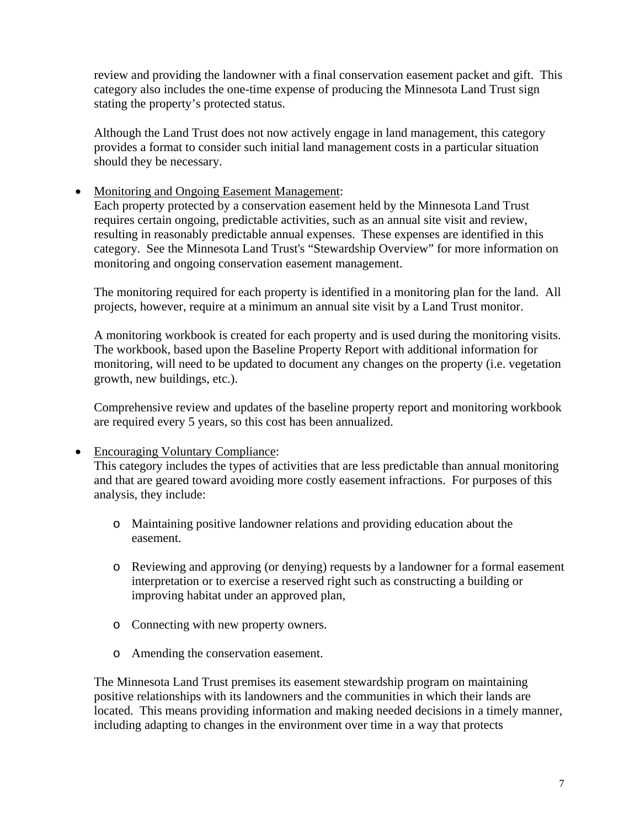review and providing the landowner with a final conservation easement packet and gift. This category also includes the one-time expense of producing the Minnesota Land Trust sign stating the property's protected status.

Although the Land Trust does not now actively engage in land management, this category provides a format to consider such initial land management costs in a particular situation should they be necessary.

• Monitoring and Ongoing Easement Management:

Each property protected by a conservation easement held by the Minnesota Land Trust requires certain ongoing, predictable activities, such as an annual site visit and review, resulting in reasonably predictable annual expenses. These expenses are identified in this category. See the Minnesota Land Trust's "Stewardship Overview" for more information on monitoring and ongoing conservation easement management.

The monitoring required for each property is identified in a monitoring plan for the land. All projects, however, require at a minimum an annual site visit by a Land Trust monitor.

A monitoring workbook is created for each property and is used during the monitoring visits. The workbook, based upon the Baseline Property Report with additional information for monitoring, will need to be updated to document any changes on the property (i.e. vegetation growth, new buildings, etc.).

Comprehensive review and updates of the baseline property report and monitoring workbook are required every 5 years, so this cost has been annualized.

• Encouraging Voluntary Compliance:

This category includes the types of activities that are less predictable than annual monitoring and that are geared toward avoiding more costly easement infractions. For purposes of this analysis, they include:

- o Maintaining positive landowner relations and providing education about the easement.
- o Reviewing and approving (or denying) requests by a landowner for a formal easement interpretation or to exercise a reserved right such as constructing a building or improving habitat under an approved plan,
- o Connecting with new property owners.
- o Amending the conservation easement.

The Minnesota Land Trust premises its easement stewardship program on maintaining positive relationships with its landowners and the communities in which their lands are located. This means providing information and making needed decisions in a timely manner, including adapting to changes in the environment over time in a way that protects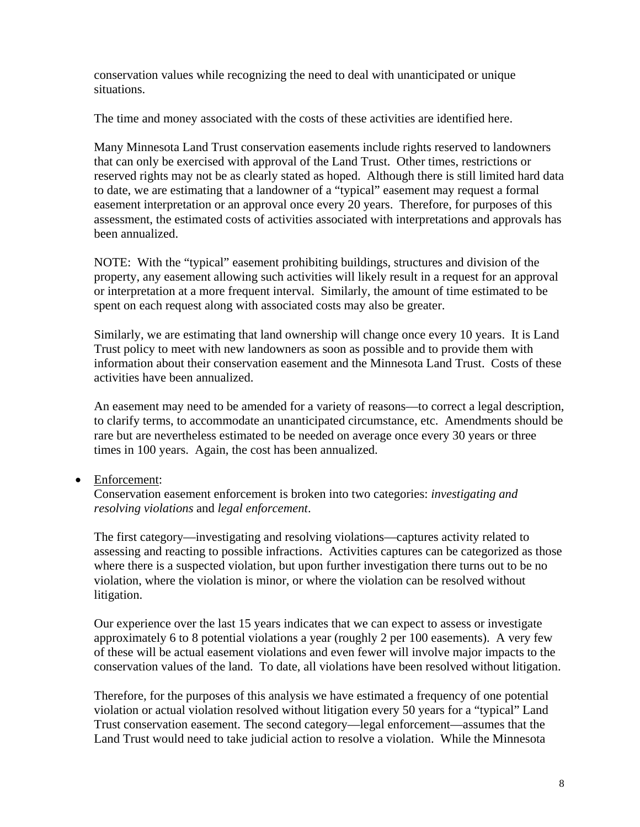conservation values while recognizing the need to deal with unanticipated or unique situations.

The time and money associated with the costs of these activities are identified here.

Many Minnesota Land Trust conservation easements include rights reserved to landowners that can only be exercised with approval of the Land Trust. Other times, restrictions or reserved rights may not be as clearly stated as hoped.Although there is still limited hard data to date, we are estimating that a landowner of a "typical" easement may request a formal easement interpretation or an approval once every 20 years. Therefore, for purposes of this assessment, the estimated costs of activities associated with interpretations and approvals has been annualized.

NOTE: With the "typical" easement prohibiting buildings, structures and division of the property, any easement allowing such activities will likely result in a request for an approval or interpretation at a more frequent interval. Similarly, the amount of time estimated to be spent on each request along with associated costs may also be greater.

Similarly, we are estimating that land ownership will change once every 10 years. It is Land Trust policy to meet with new landowners as soon as possible and to provide them with information about their conservation easement and the Minnesota Land Trust. Costs of these activities have been annualized.

An easement may need to be amended for a variety of reasons—to correct a legal description, to clarify terms, to accommodate an unanticipated circumstance, etc. Amendments should be rare but are nevertheless estimated to be needed on average once every 30 years or three times in 100 years. Again, the cost has been annualized.

# • Enforcement:

Conservation easement enforcement is broken into two categories: *investigating and resolving violations* and *legal enforcement*.

The first category—investigating and resolving violations—captures activity related to assessing and reacting to possible infractions. Activities captures can be categorized as those where there is a suspected violation, but upon further investigation there turns out to be no violation, where the violation is minor, or where the violation can be resolved without litigation.

Our experience over the last 15 years indicates that we can expect to assess or investigate approximately 6 to 8 potential violations a year (roughly 2 per 100 easements). A very few of these will be actual easement violations and even fewer will involve major impacts to the conservation values of the land. To date, all violations have been resolved without litigation.

Therefore, for the purposes of this analysis we have estimated a frequency of one potential violation or actual violation resolved without litigation every 50 years for a "typical" Land Trust conservation easement. The second category—legal enforcement—assumes that the Land Trust would need to take judicial action to resolve a violation. While the Minnesota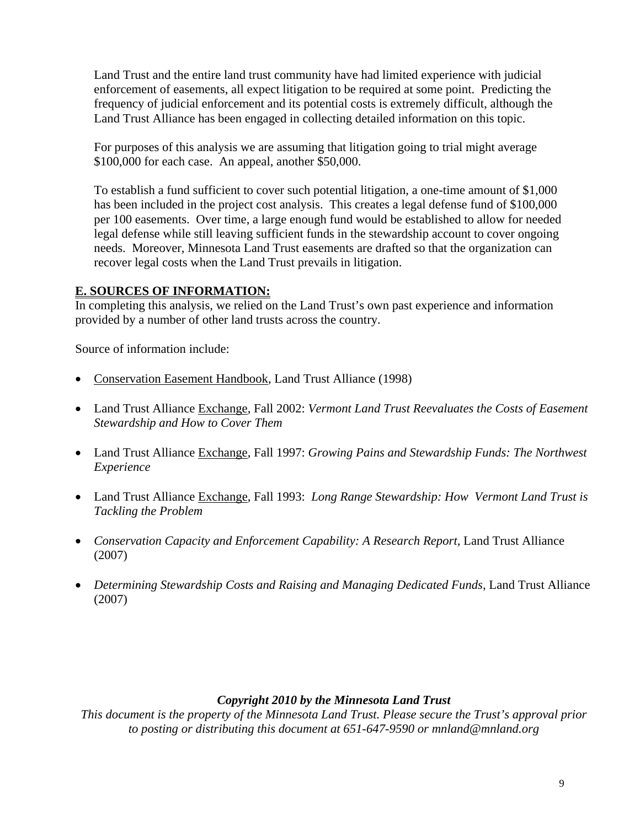Land Trust and the entire land trust community have had limited experience with judicial enforcement of easements, all expect litigation to be required at some point. Predicting the frequency of judicial enforcement and its potential costs is extremely difficult, although the Land Trust Alliance has been engaged in collecting detailed information on this topic.

For purposes of this analysis we are assuming that litigation going to trial might average \$100,000 for each case. An appeal, another \$50,000.

To establish a fund sufficient to cover such potential litigation, a one-time amount of \$1,000 has been included in the project cost analysis. This creates a legal defense fund of \$100,000 per 100 easements. Over time, a large enough fund would be established to allow for needed legal defense while still leaving sufficient funds in the stewardship account to cover ongoing needs. Moreover, Minnesota Land Trust easements are drafted so that the organization can recover legal costs when the Land Trust prevails in litigation.

# **E. SOURCES OF INFORMATION:**

In completing this analysis, we relied on the Land Trust's own past experience and information provided by a number of other land trusts across the country.

Source of information include:

- Conservation Easement Handbook, Land Trust Alliance (1998)
- Land Trust Alliance Exchange, Fall 2002: *Vermont Land Trust Reevaluates the Costs of Easement Stewardship and How to Cover Them*
- Land Trust Alliance Exchange, Fall 1997: *Growing Pains and Stewardship Funds: The Northwest Experience*
- Land Trust Alliance Exchange, Fall 1993: *Long Range Stewardship: How Vermont Land Trust is Tackling the Problem*
- Conservation Capacity and Enforcement Capability: A Research Report, Land Trust Alliance (2007)
- Determining Stewardship Costs and Raising and Managing Dedicated Funds, Land Trust Alliance (2007)

# *Copyright 2010 by the Minnesota Land Trust*

*This document is the property of the Minnesota Land Trust. Please secure the Trust's approval prior to posting or distributing this document at 651-647-9590 or mnland@mnland.org*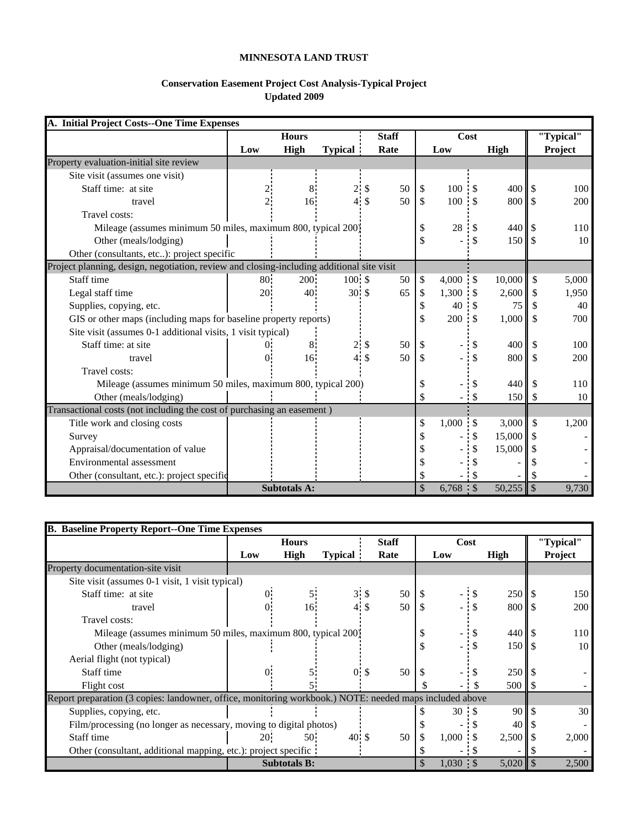#### **MINNESOTA LAND TRUST**

#### **Conservation Easement Project Cost Analysis-Typical Project Updated 2009**

| A. Initial Project Costs--One Time Expenses                                               |           |                     |                  |              |              |                     |      |        |               |           |
|-------------------------------------------------------------------------------------------|-----------|---------------------|------------------|--------------|--------------|---------------------|------|--------|---------------|-----------|
|                                                                                           |           | <b>Hours</b>        |                  | <b>Staff</b> |              |                     | Cost |        |               | "Typical" |
|                                                                                           | Low       | <b>High</b>         | <b>Typical</b> : | Rate         |              | Low                 |      | High   |               | Project   |
| Property evaluation-initial site review                                                   |           |                     |                  |              |              |                     |      |        |               |           |
| Site visit (assumes one visit)                                                            |           |                     |                  |              |              |                     |      |        |               |           |
| Staff time: at site                                                                       |           | 8                   | 2:               | \$<br>50     | \$           | $100 \cdot$ \$      |      | 400    |               | 100       |
| travel                                                                                    |           | 16:                 | $4.$ \$          | 50           | $\mathbb{S}$ | 100.5               |      | 800    | l \$          | 200       |
| Travel costs:                                                                             |           |                     |                  |              |              |                     |      |        |               |           |
| Mileage (assumes minimum 50 miles, maximum 800, typical 200)                              |           |                     |                  |              | \$           | 28                  | \$.  | 440    |               | 110       |
| Other (meals/lodging)                                                                     |           |                     |                  |              | \$           |                     |      | 150    | -S            | 10        |
| Other (consultants, etc): project specific                                                |           |                     |                  |              |              |                     |      |        |               |           |
| Project planning, design, negotiation, review and closing-including additional site visit |           |                     |                  |              |              |                     |      |        |               |           |
| Staff time                                                                                | $80^{-7}$ | 200                 | $100:$ \$        | 50           | \$           | $4,000$ \$          |      | 10,000 | \$            | 5,000     |
| Legal staff time                                                                          | 20:       | 40:                 | $30 \text{ s}$   | 65           | \$           | $1,300$ \$          |      | 2,600  | <sup>\$</sup> | 1,950     |
| Supplies, copying, etc.                                                                   |           |                     |                  |              | \$           | 40                  |      | 75     |               | 40        |
| GIS or other maps (including maps for baseline property reports)                          |           |                     |                  |              | \$           | $200 \t3$           |      | 1,000  | <sup>\$</sup> | 700       |
| Site visit (assumes 0-1 additional visits, 1 visit typical)                               |           |                     |                  |              |              |                     |      |        |               |           |
| Staff time: at site                                                                       |           | 8:                  |                  | 50           | \$           |                     |      | 400    |               | 100       |
| travel                                                                                    |           | 16                  | 4\$              | 50           | \$           |                     |      | 800    | $\mathcal{S}$ | 200       |
| Travel costs:                                                                             |           |                     |                  |              |              |                     |      |        |               |           |
| Mileage (assumes minimum 50 miles, maximum 800, typical 200)                              |           |                     |                  |              | \$           |                     |      | 440    | \$.           | 110       |
| Other (meals/lodging)                                                                     |           |                     |                  |              | \$           |                     | - \$ | 150    | S             | 10        |
| Transactional costs (not including the cost of purchasing an easement)                    |           |                     |                  |              |              |                     |      |        |               |           |
| Title work and closing costs                                                              |           |                     |                  |              | \$           | $1,000 \, \text{S}$ |      | 3,000  | \$            | 1,200     |
| Survey                                                                                    |           |                     |                  |              |              |                     |      | 15,000 |               |           |
| Appraisal/documentation of value                                                          |           |                     |                  |              |              |                     |      | 15,000 |               |           |
| Environmental assessment                                                                  |           |                     |                  |              |              |                     |      |        |               |           |
| Other (consultant, etc.): project specific                                                |           |                     |                  |              | \$           |                     |      |        |               |           |
|                                                                                           |           | <b>Subtotals A:</b> |                  |              | \$           | $6,768$ \$          |      | 50,255 | $\sqrt{3}$    | 9,730     |

| <b>B. Baseline Property Report--One Time Expenses</b>                                                   |                                                                                         |                     |                 |              |    |               |                 |                |
|---------------------------------------------------------------------------------------------------------|-----------------------------------------------------------------------------------------|---------------------|-----------------|--------------|----|---------------|-----------------|----------------|
|                                                                                                         |                                                                                         | <b>Hours</b>        |                 | <b>Staff</b> |    | Cost          |                 | "Typical"      |
|                                                                                                         | Low                                                                                     | High                | <b>Typical</b>  | Rate         |    | Low           | High            | <b>Project</b> |
| Property documentation-site visit                                                                       |                                                                                         |                     |                 |              |    |               |                 |                |
| Site visit (assumes 0-1 visit, 1 visit typical)                                                         |                                                                                         |                     |                 |              |    |               |                 |                |
| Staff time: at site                                                                                     | 0:                                                                                      |                     | $3 \cdot$ \$    | 50           | \$ | - \$          |                 | 150            |
| travel                                                                                                  | 0.                                                                                      | 16.                 | $4 \text{ }$ \$ | 50           | \$ |               | 800   \$        | 200            |
| Travel costs:                                                                                           |                                                                                         |                     |                 |              |    |               |                 |                |
|                                                                                                         | $440 \text{ s}$<br>Mileage (assumes minimum 50 miles, maximum 800, typical 200)<br>: \$ |                     |                 |              |    |               |                 | 110            |
| Other (meals/lodging)                                                                                   |                                                                                         |                     |                 |              | \$ | $\cdot$ \$    | $150$ S         | 10             |
| Aerial flight (not typical)                                                                             |                                                                                         |                     |                 |              |    |               |                 |                |
| Staff time                                                                                              | 0.                                                                                      |                     | $0:$ \$         | 50           |    |               | $250 \text{ S}$ |                |
| Flight cost                                                                                             |                                                                                         |                     |                 |              |    | $\cdot$ \$    | 500             |                |
| Report preparation (3 copies: landowner, office, monitoring workbook.) NOTE: needed maps included above |                                                                                         |                     |                 |              |    |               |                 |                |
| Supplies, copying, etc.                                                                                 |                                                                                         |                     |                 |              |    | $30 \quad S$  | 90 <sub>1</sub> | 30             |
| Film/processing (no longer as necessary, moving to digital photos)                                      |                                                                                         |                     |                 |              |    |               | 40              |                |
| Staff time                                                                                              | 20-                                                                                     | 50 <sup>1</sup>     | $40 \cdot$ \$   | 50           | \$ | 1,000<br>- \$ | $2,500$   \$    | 2,000          |
| Other (consultant, additional mapping, etc.): project specific.                                         |                                                                                         |                     |                 |              |    |               |                 |                |
|                                                                                                         |                                                                                         | <b>Subtotals B:</b> |                 |              | \$ | 1,030 : \$    | 5,020           | 2,500          |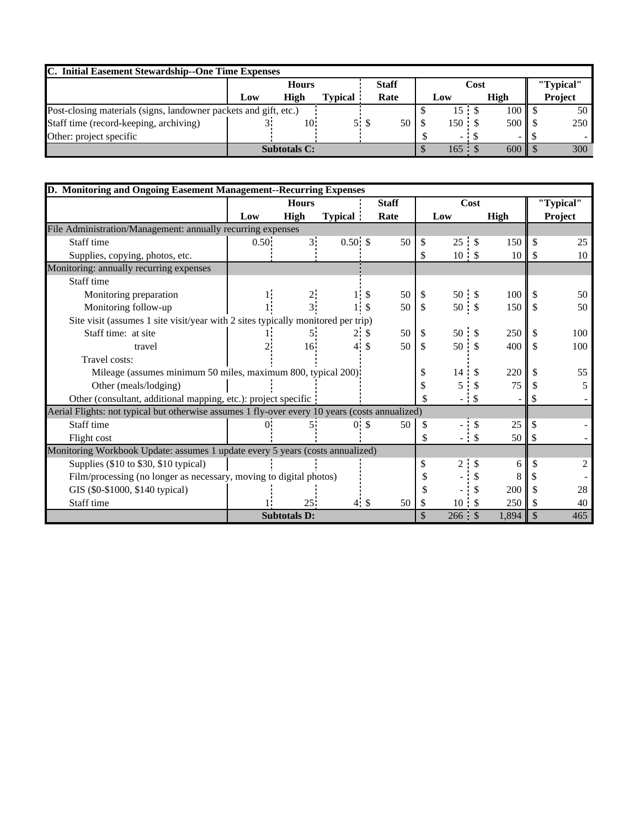| C. Initial Easement Stewardship--One Time Expenses               |              |                     |                |     |              |      |               |  |                 |  |           |
|------------------------------------------------------------------|--------------|---------------------|----------------|-----|--------------|------|---------------|--|-----------------|--|-----------|
|                                                                  | <b>Hours</b> |                     |                |     | <b>Staff</b> | Cost |               |  |                 |  | "Typical" |
|                                                                  | Low          | High                | <b>Typical</b> |     | Rate         |      | Low           |  | High            |  | Project   |
| Post-closing materials (signs, landowner packets and gift, etc.) |              |                     |                |     |              |      | 15S           |  | $100 \text{ I}$ |  | 50        |
| Staff time (record-keeping, archiving)                           |              | 10.                 |                | 5 S | 50           |      | $150 \cdot S$ |  | $500 \text{ s}$ |  | 250       |
| Other: project specific                                          |              |                     |                |     |              |      |               |  |                 |  |           |
|                                                                  |              | <b>Subtotals C:</b> |                |     |              |      | $165 :$ \$    |  | $600$   \$      |  | 300       |

| D. Monitoring and Ongoing Easement Management--Recurring Expenses                              |          |                     |                  |              |               |               |             |     |           |  |
|------------------------------------------------------------------------------------------------|----------|---------------------|------------------|--------------|---------------|---------------|-------------|-----|-----------|--|
|                                                                                                |          | <b>Hours</b>        |                  | <b>Staff</b> |               | Cost          |             |     | "Typical" |  |
|                                                                                                | Low      | <b>High</b>         | <b>Typical</b> : | Rate         |               | Low           | <b>High</b> |     | Project   |  |
| File Administration/Management: annually recurring expenses                                    |          |                     |                  |              |               |               |             |     |           |  |
| Staff time                                                                                     | $0.50$ : | 3 <sup>1</sup>      | $0.50°$ \$       | 50           | <sup>\$</sup> | 25 : \$       | 150         |     | 25        |  |
| Supplies, copying, photos, etc.                                                                |          |                     |                  |              | S             | $10:$ \$      | 10          | S.  | 10        |  |
| Monitoring: annually recurring expenses                                                        |          |                     |                  |              |               |               |             |     |           |  |
| Staff time                                                                                     |          |                     |                  |              |               |               |             |     |           |  |
| Monitoring preparation                                                                         |          |                     | \$               | 50           | \$            | $50 \cdot$ \$ | 100         | -\$ | 50        |  |
| Monitoring follow-up                                                                           |          |                     | $1 \cdot s$      | 50           | \$            | $50 \cdot$ \$ | 150         |     | 50        |  |
| Site visit (assumes 1 site visit/year with 2 sites typically monitored per trip)               |          |                     |                  |              |               |               |             |     |           |  |
| Staff time: at site                                                                            |          | 5:                  | 2:<br>-S         | 50           | -S            | 50 : S        | 250         |     | 100       |  |
| travel                                                                                         |          | $16^{\circ}$        | 4 \$             | 50           | <sup>\$</sup> | $50 \cdot$ \$ | 400         |     | 100       |  |
| Travel costs:                                                                                  |          |                     |                  |              |               |               |             |     |           |  |
| Mileage (assumes minimum 50 miles, maximum 800, typical 200)                                   |          |                     |                  |              |               | 14            | 220         |     | 55        |  |
| Other (meals/lodging)                                                                          |          |                     |                  |              |               | 5             | 75          |     |           |  |
| Other (consultant, additional mapping, etc.): project specific                                 |          |                     |                  |              |               |               |             |     |           |  |
| Aerial Flights: not typical but otherwise assumes 1 fly-over every 10 years (costs annualized) |          |                     |                  |              |               |               |             |     |           |  |
| Staff time                                                                                     |          |                     | 0.5              | 50           |               |               | 25          |     |           |  |
| Flight cost                                                                                    |          |                     |                  |              | \$            | $-$ \$        | 50          |     |           |  |
| Monitoring Workbook Update: assumes 1 update every 5 years (costs annualized)                  |          |                     |                  |              |               |               |             |     |           |  |
| Supplies (\$10 to \$30, \$10 typical)                                                          |          |                     |                  |              | \$            | 2:            | 6           |     |           |  |
| Film/processing (no longer as necessary, moving to digital photos)                             |          |                     |                  |              |               |               |             |     |           |  |
| GIS (\$0-\$1000, \$140 typical)                                                                |          |                     |                  |              |               |               | 200         |     | 28        |  |
| Staff time                                                                                     |          | $25^{\circ}$        | $4 \cdot$ \$     | 50           | S             | 10:           | 250<br>\$.  |     | 40        |  |
|                                                                                                |          | <b>Subtotals D:</b> |                  |              | \$            | 266 :         | 1,894       |     | 465       |  |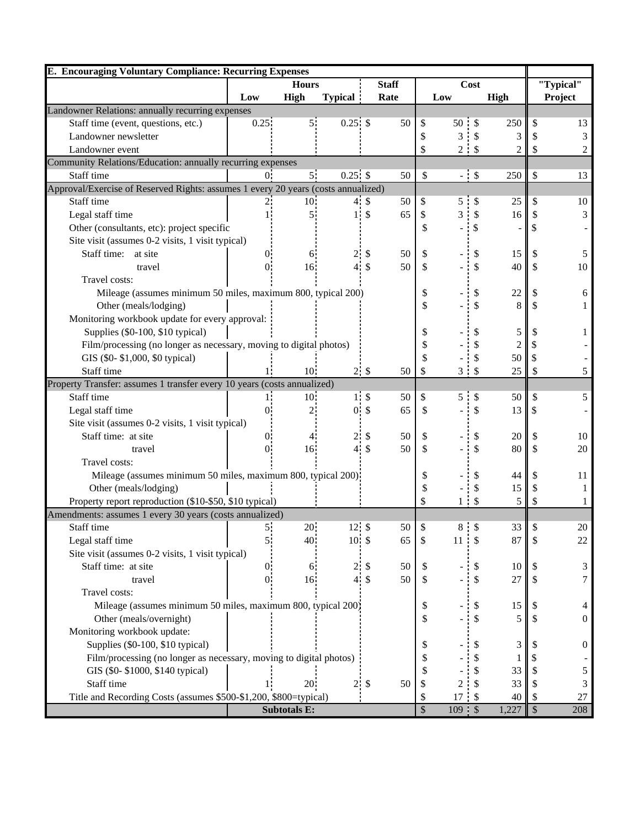| <b>E. Encouraging Voluntary Compliance: Recurring Expenses</b>                    |                              |                     |                  |                           |      |           |                |                           |                |                |                  |
|-----------------------------------------------------------------------------------|------------------------------|---------------------|------------------|---------------------------|------|-----------|----------------|---------------------------|----------------|----------------|------------------|
|                                                                                   | <b>Staff</b><br><b>Hours</b> |                     | Cost             |                           |      | "Typical" |                |                           |                |                |                  |
|                                                                                   | Low                          | High                | <b>Typical</b>   |                           | Rate |           | Low            |                           | High           |                | Project          |
| Landowner Relations: annually recurring expenses                                  |                              |                     |                  |                           |      |           |                |                           |                |                |                  |
| Staff time (event, questions, etc.)                                               | 0.25                         | 5 <sub>1</sub>      | $0.25.$ \$       |                           | 50   | \$        | 50 :           |                           | 250            | $\mathcal{S}$  | 13               |
| Landowner newsletter                                                              |                              |                     |                  |                           |      | \$        | 3              | \$                        | 3              |                | 3                |
| Landowner event                                                                   |                              |                     |                  |                           |      | \$        | $\overline{c}$ | $\cdot$ \$                | $\overline{c}$ | \$             | $\overline{c}$   |
| Community Relations/Education: annually recurring expenses                        |                              |                     |                  |                           |      |           |                |                           |                |                |                  |
| Staff time                                                                        | 0.                           | 5 <sup>1</sup>      | $0.25:$ \$       |                           | 50   | \$        |                | $-5$                      | 250            | \$             | 13               |
| Approval/Exercise of Reserved Rights: assumes 1 every 20 years (costs annualized) |                              |                     |                  |                           |      |           |                |                           |                |                |                  |
| Staff time                                                                        |                              | 10 <sup>°</sup>     |                  | 4S                        | 50   | \$        | 5              |                           | 25             | \$.            | 10               |
| Legal staff time                                                                  |                              |                     |                  | $1:$ \$                   | 65   | \$        | 3              | \$                        | 16             | S.             | 3                |
| Other (consultants, etc): project specific                                        |                              |                     |                  |                           |      | \$        |                | \$                        |                |                |                  |
| Site visit (assumes 0-2 visits, 1 visit typical)                                  |                              |                     |                  |                           |      |           |                |                           |                |                |                  |
| Staff time:<br>at site                                                            |                              | 6.                  | $\overline{2}$ : | \$                        | 50   | \$        |                |                           | 15             |                | 5                |
| travel                                                                            | 0.                           | 16                  |                  | $4.$ \$                   | 50   | \$        |                | \$                        | 40             | S              | 10               |
| Travel costs:                                                                     |                              |                     |                  |                           |      |           |                |                           |                |                |                  |
| Mileage (assumes minimum 50 miles, maximum 800, typical 200)                      |                              |                     |                  |                           |      | \$        |                |                           | 22             |                | 6                |
| Other (meals/lodging)                                                             |                              |                     |                  |                           |      | \$        |                | \$                        | 8              |                | 1                |
| Monitoring workbook update for every approval:                                    |                              |                     |                  |                           |      |           |                |                           |                |                |                  |
| Supplies (\$0-100, \$10 typical)                                                  |                              |                     |                  |                           |      |           |                |                           | 5              |                | 1                |
| Film/processing (no longer as necessary, moving to digital photos)                |                              |                     |                  |                           |      |           |                |                           | 2              |                |                  |
| GIS (\$0-\$1,000, \$0 typical)                                                    |                              |                     |                  |                           |      | \$        |                |                           | 50             | <b>S</b>       |                  |
| Staff time                                                                        | 1:                           | 10 <sup>°</sup>     |                  | 2S                        | 50   | \$        | 3:5            |                           | 25             | S              | 5                |
| Property Transfer: assumes 1 transfer every 10 years (costs annualized)           |                              |                     |                  |                           |      |           |                |                           |                |                |                  |
| Staff time                                                                        | 1:                           | 10 <sup>1</sup>     |                  | $1.$ \$                   | 50   | \$        | 5              | \$                        | 50             | S              | 5                |
| Legal staff time                                                                  | 0.                           | $2^{\cdot}$         |                  | 0 <sup>5</sup>            | 65   | \$        |                | \$                        | 13             | <sup>\$</sup>  |                  |
| Site visit (assumes 0-2 visits, 1 visit typical)                                  |                              |                     |                  |                           |      |           |                |                           |                |                |                  |
| Staff time: at site                                                               | 0.                           |                     | 2.               | \$                        | 50   | \$        |                |                           | 20             |                | 10               |
| travel                                                                            | 0.                           | 16                  |                  | $4 \text{ } $$            | 50   | \$        |                | \$                        | 80             | S              | 20               |
| Travel costs:                                                                     |                              |                     |                  |                           |      |           |                |                           |                |                |                  |
| Mileage (assumes minimum 50 miles, maximum 800, typical 200)                      |                              |                     |                  |                           |      | \$        |                |                           | 44             |                | 11               |
| Other (meals/lodging)                                                             |                              |                     |                  |                           |      | \$        |                |                           | 15             | S              | 1                |
| Property report reproduction (\$10-\$50, \$10 typical)                            |                              |                     |                  |                           |      | \$        | 1 i            | $\boldsymbol{\mathsf{S}}$ | 5              | S              |                  |
| Amendments: assumes 1 every 30 years (costs annualized)                           |                              |                     |                  |                           |      |           |                |                           |                |                |                  |
| Staff time                                                                        | 5 <sub>i</sub>               | 20                  | 12S              |                           | 50   | \$        | $8 \tIm$       |                           | $33$   \$      |                | 20               |
| Legal staff time                                                                  | 5:                           | 40                  | $10.$ \$         |                           | 65   | \$        | 11             | \$                        | 87             |                | 22               |
| Site visit (assumes 0-2 visits, 1 visit typical)                                  |                              |                     |                  |                           |      |           |                |                           |                |                |                  |
| Staff time: at site                                                               | 0.                           | 6.                  | $\overline{2}$ : | \$                        | 50   | \$        |                |                           | 10             |                | 3                |
| travel                                                                            | 0 <sup>1</sup>               | 16 <sup>2</sup>     |                  | $4 \text{ } $$            | 50   | \$        |                |                           | 27             |                | 7                |
| Travel costs:                                                                     |                              |                     |                  |                           |      |           |                |                           |                |                |                  |
| Mileage (assumes minimum 50 miles, maximum 800, typical 200)                      |                              |                     |                  |                           |      | \$        |                |                           | 15             |                | 4                |
| Other (meals/overnight)                                                           |                              |                     |                  |                           |      | \$        |                | \$                        | 5              |                | $\mathbf{0}$     |
| Monitoring workbook update:                                                       |                              |                     |                  |                           |      |           |                |                           |                |                |                  |
| Supplies (\$0-100, \$10 typical)                                                  |                              |                     |                  |                           |      | \$        |                |                           | 3              |                | $\boldsymbol{0}$ |
| Film/processing (no longer as necessary, moving to digital photos)                |                              |                     |                  |                           |      | \$        |                |                           |                |                |                  |
| GIS (\$0-\$1000, \$140 typical)                                                   |                              |                     |                  |                           |      | S         |                |                           | 33             |                | 5                |
| Staff time                                                                        |                              | 20                  | 2 <sup>1</sup>   | $\boldsymbol{\mathsf{S}}$ | 50   | \$        | $\overline{c}$ |                           | 33             |                | 3                |
| Title and Recording Costs (assumes \$500-\$1,200, \$800=typical)                  |                              |                     |                  |                           |      | \$        | $17 \tS$       |                           | 40             |                | 27               |
|                                                                                   |                              | <b>Subtotals E:</b> |                  |                           |      | \$        | $109.$ \$      |                           | 1,227          | $\mathsf{I}$ s | 208              |